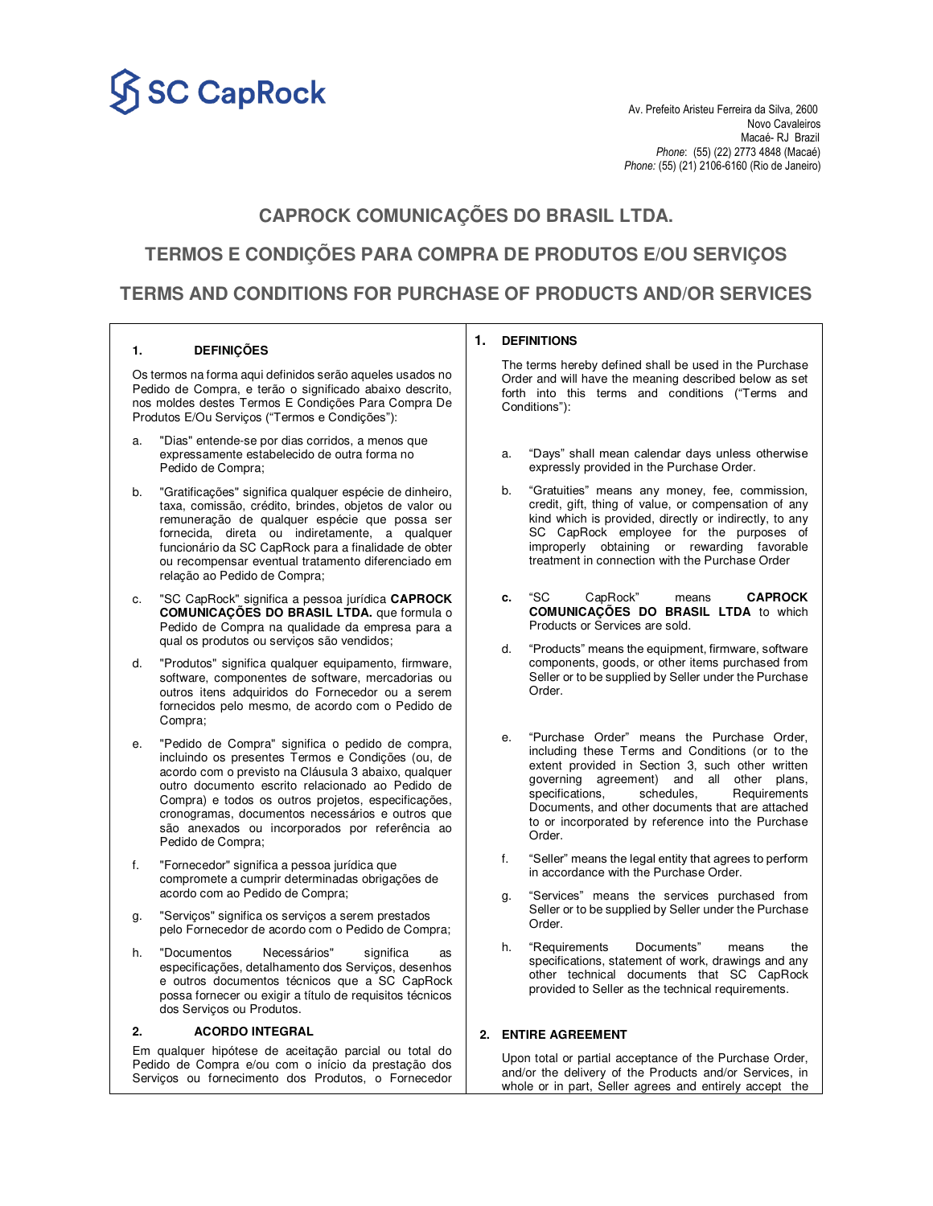

Novo Cavaleiros<br>Macaé- RJ Brazil Macaé- RJ Brazil *Phone*: (55) (22) 2773 4848 (Macaé) *Phone:* (55) (21) 2106-6160 (Rio de Janeiro)

# **CAPROCK COMUNICAÇÕES DO BRASIL LTDA.**

**TERMOS E CONDIÇÕES PARA COMPRA DE PRODUTOS E/OU SERVIÇOS** 

# **TERMS AND CONDITIONS FOR PURCHASE OF PRODUCTS AND/OR SERVICES**

### **1. DEFINIÇÕES**

Os termos na forma aqui definidos serão aqueles usados no Pedido de Compra, e terão o significado abaixo descrito, nos moldes destes Termos E Condições Para Compra De Produtos E/Ou Serviços ("Termos e Condições"):

- a. "Dias" entende-se por dias corridos, a menos que expressamente estabelecido de outra forma no Pedido de Compra;
- b. "Gratificações" significa qualquer espécie de dinheiro, taxa, comissão, crédito, brindes, objetos de valor ou remuneração de qualquer espécie que possa ser fornecida, direta ou indiretamente, a qualquer funcionário da SC CapRock para a finalidade de obter ou recompensar eventual tratamento diferenciado em relação ao Pedido de Compra;
- c. "SC CapRock" significa a pessoa jurídica **CAPROCK COMUNICAÇÕES DO BRASIL LTDA.** que formula o Pedido de Compra na qualidade da empresa para a qual os produtos ou serviços são vendidos;
- d. "Produtos" significa qualquer equipamento, firmware, software, componentes de software, mercadorias ou outros itens adquiridos do Fornecedor ou a serem fornecidos pelo mesmo, de acordo com o Pedido de Compra;
- e. "Pedido de Compra" significa o pedido de compra, incluindo os presentes Termos e Condições (ou, de acordo com o previsto na Cláusula 3 abaixo, qualquer outro documento escrito relacionado ao Pedido de Compra) e todos os outros projetos, especificações, cronogramas, documentos necessários e outros que são anexados ou incorporados por referência ao Pedido de Compra;
- f. "Fornecedor" significa a pessoa jurídica que compromete a cumprir determinadas obrigações de acordo com ao Pedido de Compra;
- g. "Serviços" significa os serviços a serem prestados pelo Fornecedor de acordo com o Pedido de Compra;
- h. "Documentos Necessários" significa especificações, detalhamento dos Serviços, desenhos e outros documentos técnicos que a SC CapRock possa fornecer ou exigir a título de requisitos técnicos dos Serviços ou Produtos.

### **2. ACORDO INTEGRAL**

Em qualquer hipótese de aceitação parcial ou total do Pedido de Compra e/ou com o início da prestação dos Serviços ou fornecimento dos Produtos, o Fornecedor

### **1. DEFINITIONS**

The terms hereby defined shall be used in the Purchase Order and will have the meaning described below as set forth into this terms and conditions ("Terms and Conditions"):

- a. "Days" shall mean calendar days unless otherwise expressly provided in the Purchase Order.
- b. "Gratuities" means any money, fee, commission, credit, gift, thing of value, or compensation of any kind which is provided, directly or indirectly, to any SC CapRock employee for the purposes of improperly obtaining or rewarding favorable treatment in connection with the Purchase Order
- **c.** "SC CapRock" means **CAPROCK COMUNICAÇÕES DO BRASIL LTDA** to which Products or Services are sold.
- d. "Products" means the equipment, firmware, software components, goods, or other items purchased from Seller or to be supplied by Seller under the Purchase Order.
- e. "Purchase Order" means the Purchase Order, including these Terms and Conditions (or to the extent provided in Section 3, such other written governing agreement) and all other plans,<br>specifications, schedules, Requirements Requirements Documents, and other documents that are attached to or incorporated by reference into the Purchase Order.
- f. "Seller" means the legal entity that agrees to perform in accordance with the Purchase Order.
- g. "Services" means the services purchased from Seller or to be supplied by Seller under the Purchase Order.
- h. "Requirements Documents" means the specifications, statement of work, drawings and any other technical documents that SC CapRock provided to Seller as the technical requirements.

## **2. ENTIRE AGREEMENT**

Upon total or partial acceptance of the Purchase Order, and/or the delivery of the Products and/or Services, in whole or in part, Seller agrees and entirely accept the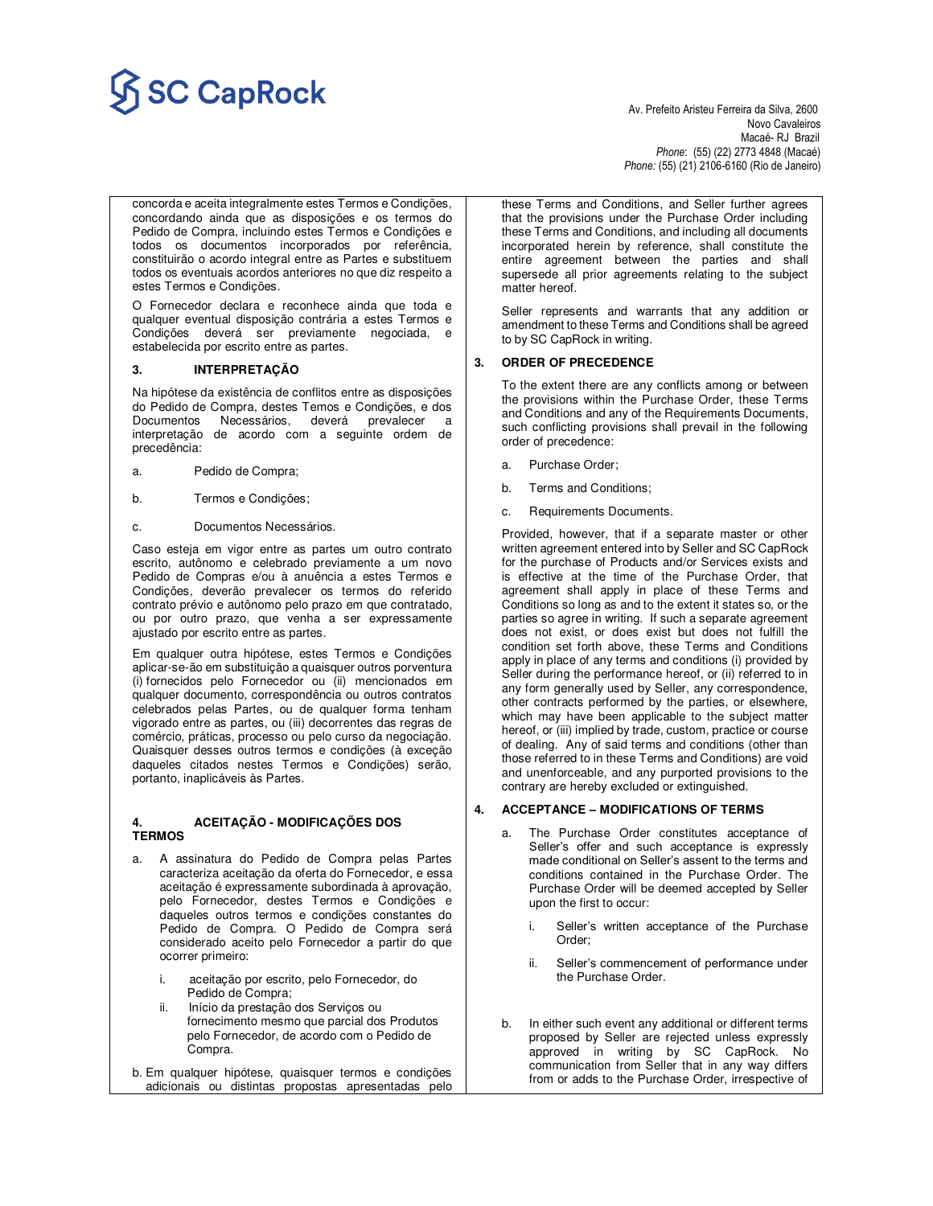# SC CapRock<br>Av. Prefeito Aristeu Ferreira da Silva, 2600

Novo Cavaleiros<br>Macaé- RJ Brazil Macaé- RJ Brazil *Phone*: (55) (22) 2773 4848 (Macaé) *Phone:* (55) (21) 2106-6160 (Rio de Janeiro)

concorda e aceita integralmente estes Termos e Condições, concordando ainda que as disposições e os termos do Pedido de Compra, incluindo estes Termos e Condições e todos os documentos incorporados por referência, constituirão o acordo integral entre as Partes e substituem todos os eventuais acordos anteriores no que diz respeito a estes Termos e Condições.

O Fornecedor declara e reconhece ainda que toda e qualquer eventual disposição contrária a estes Termos e Condições deverá ser previamente negociada, e estabelecida por escrito entre as partes.

### **3. INTERPRETAÇÃO**

Na hipótese da existência de conflitos entre as disposições do Pedido de Compra, destes Temos e Condições, e dos Documentos Necessários, deverá prevalecer a interpretação de acordo com a seguinte ordem de precedência:

- a. Pedido de Compra;
- b. Termos e Condições;
- c. Documentos Necessários.

Caso esteja em vigor entre as partes um outro contrato escrito, autônomo e celebrado previamente a um novo Pedido de Compras e/ou à anuência a estes Termos e Condições, deverão prevalecer os termos do referido contrato prévio e autônomo pelo prazo em que contratado, ou por outro prazo, que venha a ser expressamente ajustado por escrito entre as partes.

Em qualquer outra hipótese, estes Termos e Condições aplicar-se-ão em substituição a quaisquer outros porventura (i) fornecidos pelo Fornecedor ou (ii) mencionados em qualquer documento, correspondência ou outros contratos celebrados pelas Partes, ou de qualquer forma tenham vigorado entre as partes, ou (iii) decorrentes das regras de comércio, práticas, processo ou pelo curso da negociação. Quaisquer desses outros termos e condições (à exceção daqueles citados nestes Termos e Condições) serão, portanto, inaplicáveis às Partes.

### **4. ACEITAÇÃO - MODIFICAÇÕES DOS TERMOS**

- a. A assinatura do Pedido de Compra pelas Partes caracteriza aceitação da oferta do Fornecedor, e essa aceitação é expressamente subordinada à aprovação, pelo Fornecedor, destes Termos e Condições e daqueles outros termos e condições constantes do Pedido de Compra. O Pedido de Compra será considerado aceito pelo Fornecedor a partir do que ocorrer primeiro:
	- i. aceitação por escrito, pelo Fornecedor, do Pedido de Compra;
	- Início da prestação dos Serviços ou fornecimento mesmo que parcial dos Produtos pelo Fornecedor, de acordo com o Pedido de Compra.
- b. Em qualquer hipótese, quaisquer termos e condições adicionais ou distintas propostas apresentadas pelo

these Terms and Conditions, and Seller further agrees that the provisions under the Purchase Order including these Terms and Conditions, and including all documents incorporated herein by reference, shall constitute the entire agreement between the parties and shall supersede all prior agreements relating to the subject matter hereof.

Seller represents and warrants that any addition or amendment to these Terms and Conditions shall be agreed to by SC CapRock in writing.

### **3. ORDER OF PRECEDENCE**

To the extent there are any conflicts among or between the provisions within the Purchase Order, these Terms and Conditions and any of the Requirements Documents, such conflicting provisions shall prevail in the following order of precedence:

- a. Purchase Order;
- b. Terms and Conditions;
- c. Requirements Documents.

Provided, however, that if a separate master or other written agreement entered into by Seller and SC CapRock for the purchase of Products and/or Services exists and is effective at the time of the Purchase Order, that agreement shall apply in place of these Terms and Conditions so long as and to the extent it states so, or the parties so agree in writing. If such a separate agreement does not exist, or does exist but does not fulfill the condition set forth above, these Terms and Conditions apply in place of any terms and conditions (i) provided by Seller during the performance hereof, or (ii) referred to in any form generally used by Seller, any correspondence, other contracts performed by the parties, or elsewhere, which may have been applicable to the subject matter hereof, or (iii) implied by trade, custom, practice or course of dealing. Any of said terms and conditions (other than those referred to in these Terms and Conditions) are void and unenforceable, and any purported provisions to the contrary are hereby excluded or extinguished.

### **4. ACCEPTANCE – MODIFICATIONS OF TERMS**

- a. The Purchase Order constitutes acceptance of Seller's offer and such acceptance is expressly made conditional on Seller's assent to the terms and conditions contained in the Purchase Order. The Purchase Order will be deemed accepted by Seller upon the first to occur:
	- i. Seller's written acceptance of the Purchase Order;
	- ii. Seller's commencement of performance under the Purchase Order.
- b. In either such event any additional or different terms proposed by Seller are rejected unless expressly approved in writing by SC CapRock. No communication from Seller that in any way differs from or adds to the Purchase Order, irrespective of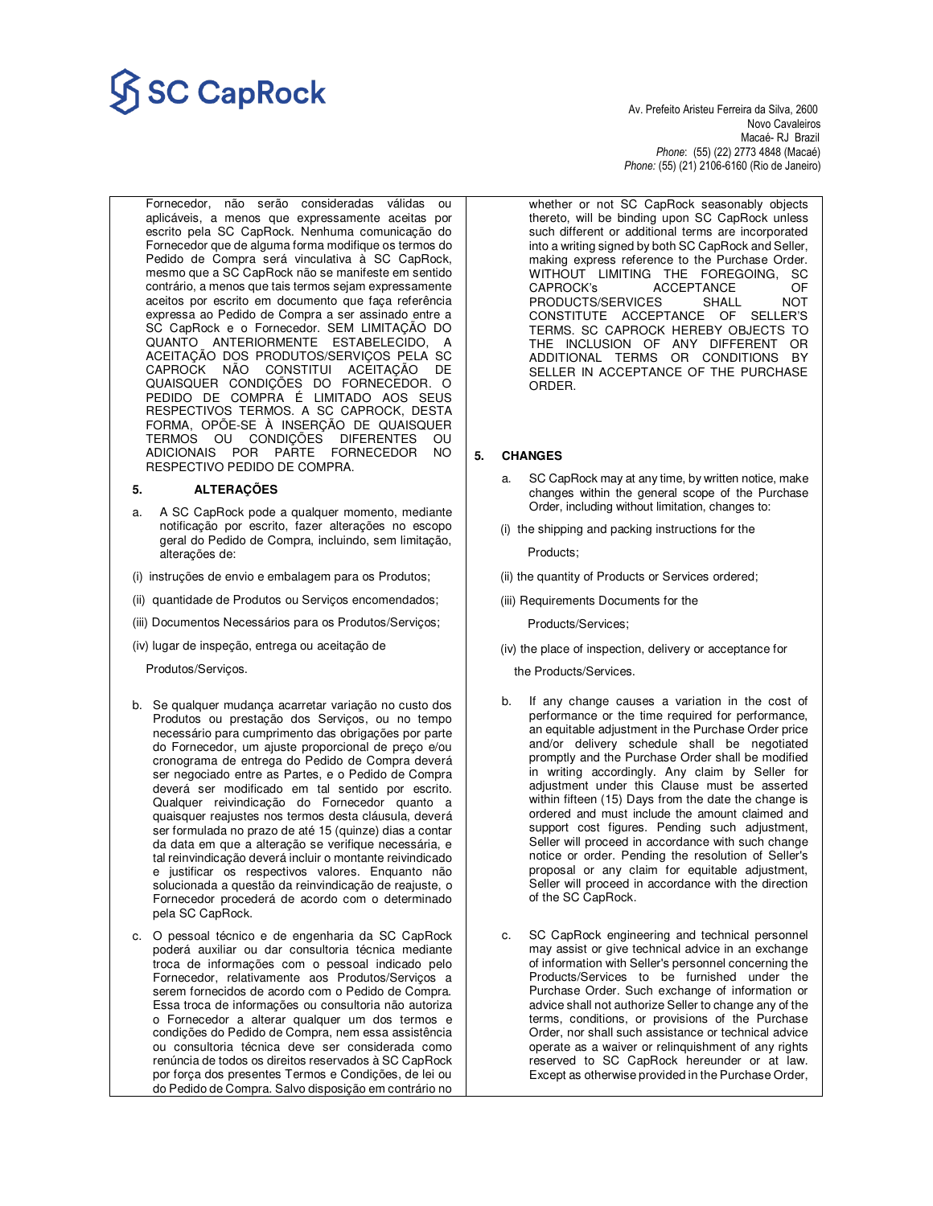# **Av. Prefeito Aristeu Ferreira da Silva, 2600**<br>Av. Prefeito Aristeu Ferreira da Silva, 2600

 Novo Cavaleiros Macaé- RJ Brazil *Phone*: (55) (22) 2773 4848 (Macaé) *Phone:* (55) (21) 2106-6160 (Rio de Janeiro)

Fornecedor, não serão consideradas válidas ou aplicáveis, a menos que expressamente aceitas por escrito pela SC CapRock. Nenhuma comunicação do Fornecedor que de alguma forma modifique os termos do Pedido de Compra será vinculativa à SC CapRock, mesmo que a SC CapRock não se manifeste em sentido contrário, a menos que tais termos sejam expressamente aceitos por escrito em documento que faça referência expressa ao Pedido de Compra a ser assinado entre a SC CapRock e o Fornecedor. SEM LIMITAÇÃO DO QUANTO ANTERIORMENTE ESTABELECIDO, A ACEITAÇÃO DOS PRODUTOS/SERVIÇOS PELA SC CAPROCK NÃO CONSTITUI ACEITAÇÃO DE QUAISQUER CONDIÇÕES DO FORNECEDOR. O PEDIDO DE COMPRA É LIMITADO AOS SEUS RESPECTIVOS TERMOS. A SC CAPROCK, DESTA FORMA, OPÕE-SE À INSERÇÃO DE QUAISQUER TERMOS OU CONDIÇÕES DIFERENTES OU ADICIONAIS POR PARTE FORNECEDOR NO RESPECTIVO PEDIDO DE COMPRA.

### **5. ALTERAÇÕES**

- a. A SC CapRock pode a qualquer momento, mediante notificação por escrito, fazer alterações no escopo geral do Pedido de Compra, incluindo, sem limitação, alterações de:
- (i) instruções de envio e embalagem para os Produtos;
- (ii) quantidade de Produtos ou Serviços encomendados;
- (iii) Documentos Necessários para os Produtos/Serviços;
- (iv) lugar de inspeção, entrega ou aceitação de

Produtos/Serviços.

- b. Se qualquer mudança acarretar variação no custo dos Produtos ou prestação dos Serviços, ou no tempo necessário para cumprimento das obrigações por parte do Fornecedor, um ajuste proporcional de preço e/ou cronograma de entrega do Pedido de Compra deverá ser negociado entre as Partes, e o Pedido de Compra deverá ser modificado em tal sentido por escrito. Qualquer reivindicação do Fornecedor quanto a quaisquer reajustes nos termos desta cláusula, deverá ser formulada no prazo de até 15 (quinze) dias a contar da data em que a alteração se verifique necessária, e tal reinvindicação deverá incluir o montante reivindicado e justificar os respectivos valores. Enquanto não solucionada a questão da reinvindicação de reajuste, o Fornecedor procederá de acordo com o determinado pela SC CapRock.
- c. O pessoal técnico e de engenharia da SC CapRock poderá auxiliar ou dar consultoria técnica mediante troca de informações com o pessoal indicado pelo Fornecedor, relativamente aos Produtos/Serviços a serem fornecidos de acordo com o Pedido de Compra. Essa troca de informações ou consultoria não autoriza o Fornecedor a alterar qualquer um dos termos e condições do Pedido de Compra, nem essa assistência ou consultoria técnica deve ser considerada como renúncia de todos os direitos reservados à SC CapRock por força dos presentes Termos e Condições, de lei ou do Pedido de Compra. Salvo disposição em contrário no

whether or not SC CapRock seasonably objects thereto, will be binding upon SC CapRock unless such different or additional terms are incorporated into a writing signed by both SC CapRock and Seller, making express reference to the Purchase Order. WITHOUT LIMITING THE FOREGOING, SC CAPROCK's ACCEPTANCE OF<br>PRODUCTS/SERVICES SHALL NOT PRODUCTS/SERVICES CONSTITUTE ACCEPTANCE OF SELLER'S TERMS. SC CAPROCK HEREBY OBJECTS TO THE INCLUSION OF ANY DIFFERENT OR ADDITIONAL TERMS OR CONDITIONS BY SELLER IN ACCEPTANCE OF THE PURCHASE ORDER.

### **5. CHANGES**

- a. SC CapRock may at any time, by written notice, make changes within the general scope of the Purchase Order, including without limitation, changes to:
- (i) the shipping and packing instructions for the

Products;

- (ii) the quantity of Products or Services ordered;
- (iii) Requirements Documents for the

Products/Services;

(iv) the place of inspection, delivery or acceptance for

the Products/Services.

- b. If any change causes a variation in the cost of performance or the time required for performance, an equitable adjustment in the Purchase Order price and/or delivery schedule shall be negotiated promptly and the Purchase Order shall be modified in writing accordingly. Any claim by Seller for adjustment under this Clause must be asserted within fifteen (15) Days from the date the change is ordered and must include the amount claimed and support cost figures. Pending such adjustment, Seller will proceed in accordance with such change notice or order. Pending the resolution of Seller's proposal or any claim for equitable adjustment, Seller will proceed in accordance with the direction of the SC CapRock.
- c. SC CapRock engineering and technical personnel may assist or give technical advice in an exchange of information with Seller's personnel concerning the Products/Services to be furnished under the Purchase Order. Such exchange of information or advice shall not authorize Seller to change any of the terms, conditions, or provisions of the Purchase Order, nor shall such assistance or technical advice operate as a waiver or relinquishment of any rights reserved to SC CapRock hereunder or at law. Except as otherwise provided in the Purchase Order,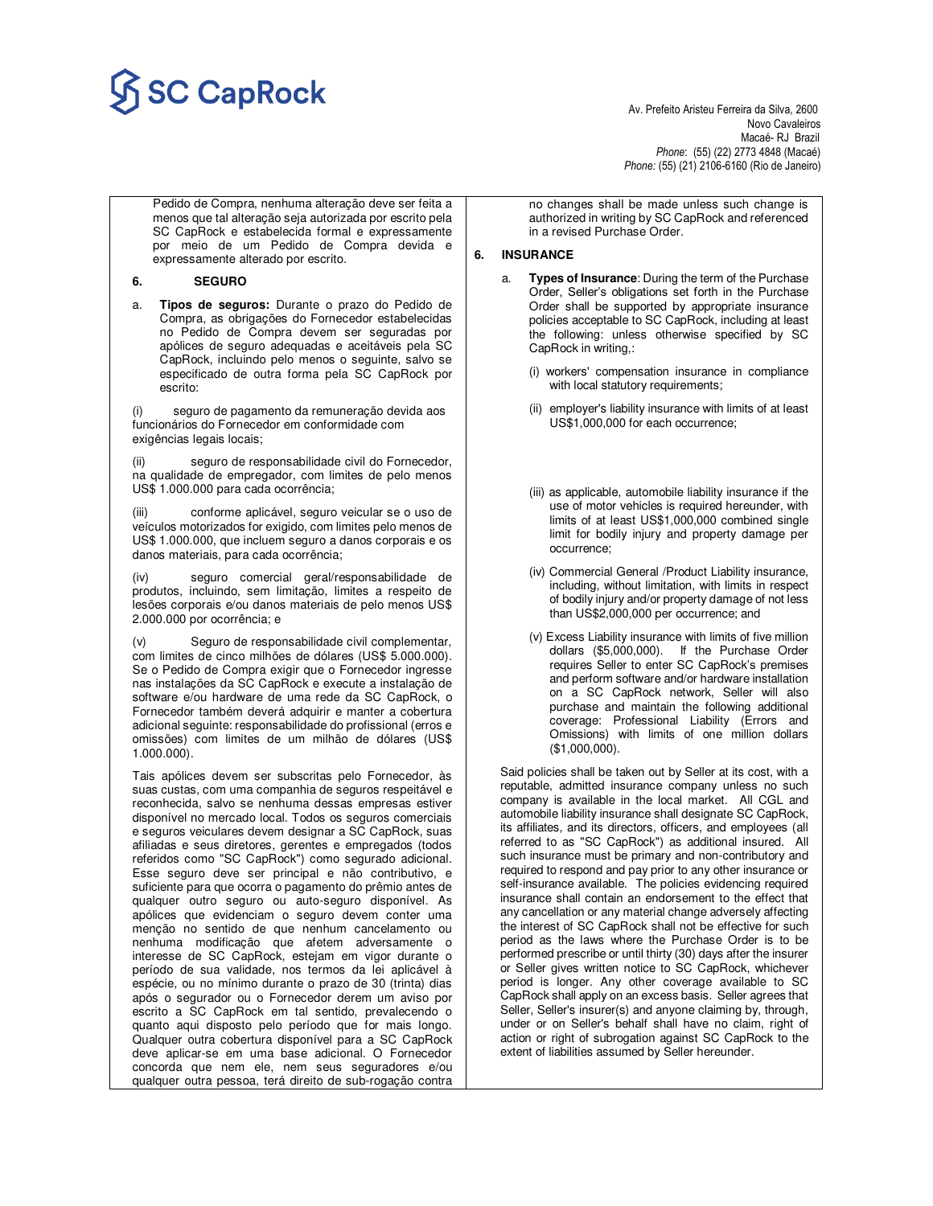# SC CapRock<br>Av. Prefeito Aristeu Ferreira da Silva, 2600

 Novo Cavaleiros Macaé- RJ Brazil *Phone*: (55) (22) 2773 4848 (Macaé) *Phone:* (55) (21) 2106-6160 (Rio de Janeiro)

Pedido de Compra, nenhuma alteração deve ser feita a menos que tal alteração seja autorizada por escrito pela SC CapRock e estabelecida formal e expressamente por meio de um Pedido de Compra devida e expressamente alterado por escrito.

### **6. SEGURO**

a. **Tipos de seguros:** Durante o prazo do Pedido de Compra, as obrigações do Fornecedor estabelecidas no Pedido de Compra devem ser seguradas por apólices de seguro adequadas e aceitáveis pela SC CapRock, incluindo pelo menos o seguinte, salvo se especificado de outra forma pela SC CapRock por escrito:

seguro de pagamento da remuneração devida aos funcionários do Fornecedor em conformidade com exigências legais locais;

(ii) seguro de responsabilidade civil do Fornecedor, na qualidade de empregador, com limites de pelo menos US\$ 1.000.000 para cada ocorrência;

(iii) conforme aplicável, seguro veicular se o uso de veículos motorizados for exigido, com limites pelo menos de US\$ 1.000.000, que incluem seguro a danos corporais e os danos materiais, para cada ocorrência;

(iv) seguro comercial geral/responsabilidade de produtos, incluindo, sem limitação, limites a respeito de lesões corporais e/ou danos materiais de pelo menos US\$ 2.000.000 por ocorrência; e

(v) Seguro de responsabilidade civil complementar, com limites de cinco milhões de dólares (US\$ 5.000.000). Se o Pedido de Compra exigir que o Fornecedor ingresse nas instalações da SC CapRock e execute a instalação de software e/ou hardware de uma rede da SC CapRock, o Fornecedor também deverá adquirir e manter a cobertura adicional seguinte: responsabilidade do profissional (erros e omissões) com limites de um milhão de dólares (US\$ 1.000.000).

Tais apólices devem ser subscritas pelo Fornecedor, às suas custas, com uma companhia de seguros respeitável e reconhecida, salvo se nenhuma dessas empresas estiver disponível no mercado local. Todos os seguros comerciais e seguros veiculares devem designar a SC CapRock, suas afiliadas e seus diretores, gerentes e empregados (todos referidos como "SC CapRock") como segurado adicional. Esse seguro deve ser principal e não contributivo, e suficiente para que ocorra o pagamento do prêmio antes de qualquer outro seguro ou auto-seguro disponível. As apólices que evidenciam o seguro devem conter uma menção no sentido de que nenhum cancelamento ou nenhuma modificação que afetem adversamente o interesse de SC CapRock, estejam em vigor durante o período de sua validade, nos termos da lei aplicável à espécie, ou no mínimo durante o prazo de 30 (trinta) dias após o segurador ou o Fornecedor derem um aviso por escrito a SC CapRock em tal sentido, prevalecendo o quanto aqui disposto pelo período que for mais longo. Qualquer outra cobertura disponível para a SC CapRock deve aplicar-se em uma base adicional. O Fornecedor concorda que nem ele, nem seus seguradores e/ou qualquer outra pessoa, terá direito de sub-rogação contra

no changes shall be made unless such change is authorized in writing by SC CapRock and referenced in a revised Purchase Order.

### **6. INSURANCE**

- a. **Types of Insurance**: During the term of the Purchase Order, Seller's obligations set forth in the Purchase Order shall be supported by appropriate insurance policies acceptable to SC CapRock, including at least the following: unless otherwise specified by SC CapRock in writing,:
	- (i) workers' compensation insurance in compliance with local statutory requirements;
	- (ii) employer's liability insurance with limits of at least US\$1,000,000 for each occurrence;
	- (iii) as applicable, automobile liability insurance if the use of motor vehicles is required hereunder, with limits of at least US\$1,000,000 combined single limit for bodily injury and property damage per occurrence;
	- (iv) Commercial General /Product Liability insurance, including, without limitation, with limits in respect of bodily injury and/or property damage of not less than US\$2,000,000 per occurrence; and
	- (v) Excess Liability insurance with limits of five million dollars (\$5,000,000). If the Purchase Order requires Seller to enter SC CapRock's premises and perform software and/or hardware installation on a SC CapRock network, Seller will also purchase and maintain the following additional coverage: Professional Liability (Errors and Omissions) with limits of one million dollars (\$1,000,000).

Said policies shall be taken out by Seller at its cost, with a reputable, admitted insurance company unless no such company is available in the local market. All CGL and automobile liability insurance shall designate SC CapRock, its affiliates, and its directors, officers, and employees (all referred to as "SC CapRock") as additional insured. All such insurance must be primary and non-contributory and required to respond and pay prior to any other insurance or self-insurance available. The policies evidencing required insurance shall contain an endorsement to the effect that any cancellation or any material change adversely affecting the interest of SC CapRock shall not be effective for such period as the laws where the Purchase Order is to be performed prescribe or until thirty (30) days after the insurer or Seller gives written notice to SC CapRock, whichever period is longer. Any other coverage available to SC CapRock shall apply on an excess basis. Seller agrees that Seller, Seller's insurer(s) and anyone claiming by, through, under or on Seller's behalf shall have no claim, right of action or right of subrogation against SC CapRock to the extent of liabilities assumed by Seller hereunder.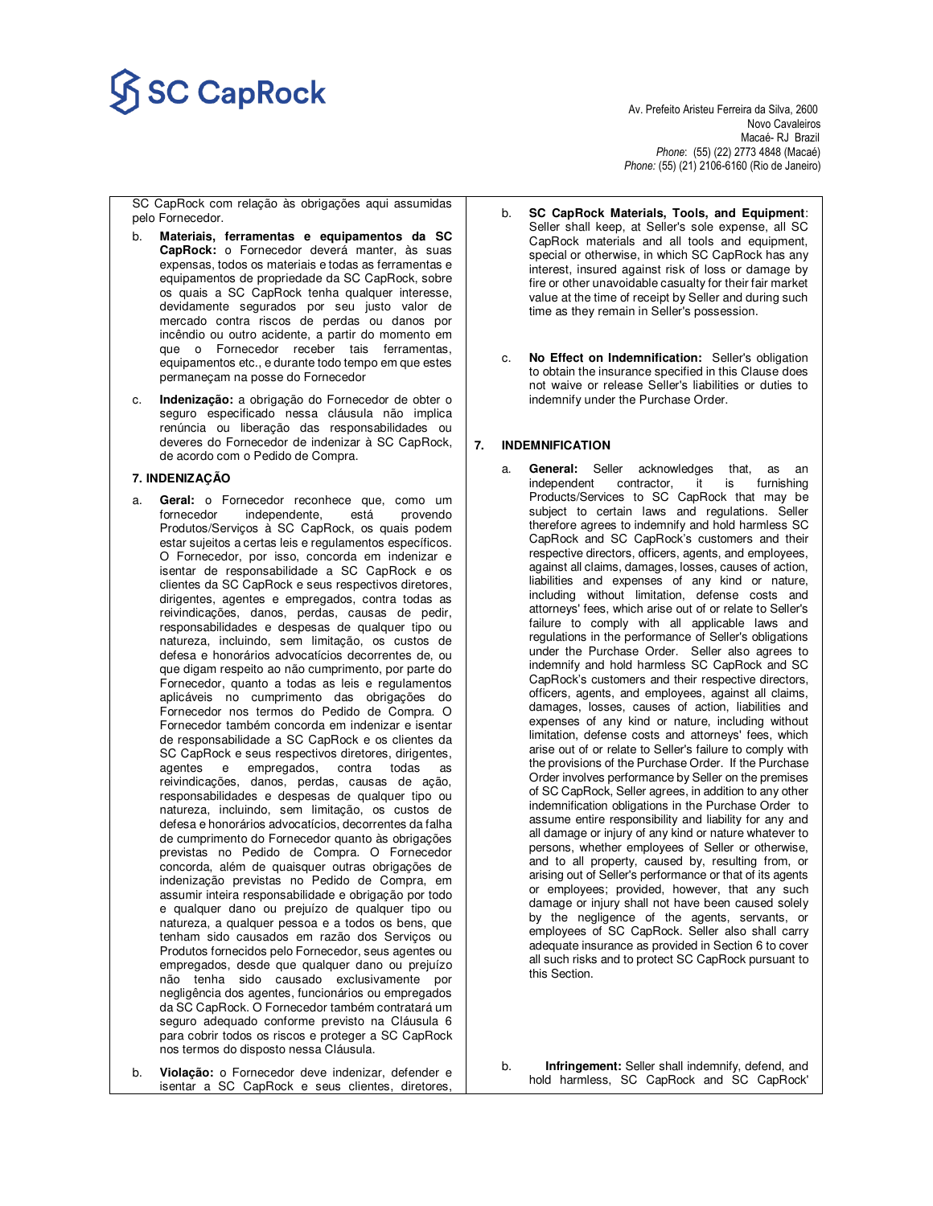# $\overline{\text{SC} \text{CapRock}}$

Novo Cavaleiros<br>Macaé- RJ Brazil Macaé- RJ Brazil *Phone*: (55) (22) 2773 4848 (Macaé) *Phone:* (55) (21) 2106-6160 (Rio de Janeiro)

SC CapRock com relação às obrigações aqui assumidas pelo Fornecedor.

- b. **Materiais, ferramentas e equipamentos da SC CapRock:** o Fornecedor deverá manter, às suas expensas, todos os materiais e todas as ferramentas e equipamentos de propriedade da SC CapRock, sobre os quais a SC CapRock tenha qualquer interesse, devidamente segurados por seu justo valor de mercado contra riscos de perdas ou danos por incêndio ou outro acidente, a partir do momento em que o Fornecedor receber tais ferramentas, equipamentos etc., e durante todo tempo em que estes permaneçam na posse do Fornecedor
- c. **Indenização:** a obrigação do Fornecedor de obter o seguro especificado nessa cláusula não implica renúncia ou liberação das responsabilidades ou deveres do Fornecedor de indenizar à SC CapRock, de acordo com o Pedido de Compra.

### **7. INDENIZAÇÃO**

- a. **Geral:** o Fornecedor reconhece que, como um fornecedor independente, está provendo Produtos/Serviços à SC CapRock, os quais podem estar sujeitos a certas leis e regulamentos específicos. O Fornecedor, por isso, concorda em indenizar e isentar de responsabilidade a SC CapRock e os clientes da SC CapRock e seus respectivos diretores, dirigentes, agentes e empregados, contra todas as reivindicações, danos, perdas, causas de pedir, responsabilidades e despesas de qualquer tipo ou natureza, incluindo, sem limitação, os custos de defesa e honorários advocatícios decorrentes de, ou que digam respeito ao não cumprimento, por parte do Fornecedor, quanto a todas as leis e regulamentos aplicáveis no cumprimento das obrigações do Fornecedor nos termos do Pedido de Compra. O Fornecedor também concorda em indenizar e isentar de responsabilidade a SC CapRock e os clientes da SC CapRock e seus respectivos diretores, dirigentes, agentes e empregados, contra todas as reivindicações, danos, perdas, causas de ação, responsabilidades e despesas de qualquer tipo ou natureza, incluindo, sem limitação, os custos de defesa e honorários advocatícios, decorrentes da falha de cumprimento do Fornecedor quanto às obrigações previstas no Pedido de Compra. O Fornecedor concorda, além de quaisquer outras obrigações de indenização previstas no Pedido de Compra, em assumir inteira responsabilidade e obrigação por todo e qualquer dano ou prejuízo de qualquer tipo ou natureza, a qualquer pessoa e a todos os bens, que tenham sido causados em razão dos Serviços ou Produtos fornecidos pelo Fornecedor, seus agentes ou empregados, desde que qualquer dano ou prejuízo não tenha sido causado exclusivamente por negligência dos agentes, funcionários ou empregados da SC CapRock. O Fornecedor também contratará um seguro adequado conforme previsto na Cláusula 6 para cobrir todos os riscos e proteger a SC CapRock nos termos do disposto nessa Cláusula.
- b. **Violação:** o Fornecedor deve indenizar, defender e isentar a SC CapRock e seus clientes, diretores,
- b. **SC CapRock Materials, Tools, and Equipment**: Seller shall keep, at Seller's sole expense, all SC CapRock materials and all tools and equipment, special or otherwise, in which SC CapRock has any interest, insured against risk of loss or damage by fire or other unavoidable casualty for their fair market value at the time of receipt by Seller and during such time as they remain in Seller's possession.
- c. **No Effect on Indemnification:** Seller's obligation to obtain the insurance specified in this Clause does not waive or release Seller's liabilities or duties to indemnify under the Purchase Order.

### **7. INDEMNIFICATION**

General: Seller acknowledges that, as an independent contractor, it is furnishing Products/Services to SC CapRock that may be subject to certain laws and regulations. Seller therefore agrees to indemnify and hold harmless SC CapRock and SC CapRock's customers and their respective directors, officers, agents, and employees, against all claims, damages, losses, causes of action, liabilities and expenses of any kind or nature, including without limitation, defense costs and attorneys' fees, which arise out of or relate to Seller's failure to comply with all applicable laws and regulations in the performance of Seller's obligations under the Purchase Order. Seller also agrees to indemnify and hold harmless SC CapRock and SC CapRock's customers and their respective directors, officers, agents, and employees, against all claims, damages, losses, causes of action, liabilities and expenses of any kind or nature, including without limitation, defense costs and attorneys' fees, which arise out of or relate to Seller's failure to comply with the provisions of the Purchase Order. If the Purchase Order involves performance by Seller on the premises of SC CapRock, Seller agrees, in addition to any other indemnification obligations in the Purchase Order to assume entire responsibility and liability for any and all damage or injury of any kind or nature whatever to persons, whether employees of Seller or otherwise, and to all property, caused by, resulting from, or arising out of Seller's performance or that of its agents or employees; provided, however, that any such damage or injury shall not have been caused solely by the negligence of the agents, servants, or employees of SC CapRock. Seller also shall carry adequate insurance as provided in Section 6 to cover all such risks and to protect SC CapRock pursuant to this Section.

b. **Infringement:** Seller shall indemnify, defend, and hold harmless, SC CapRock and SC CapRock'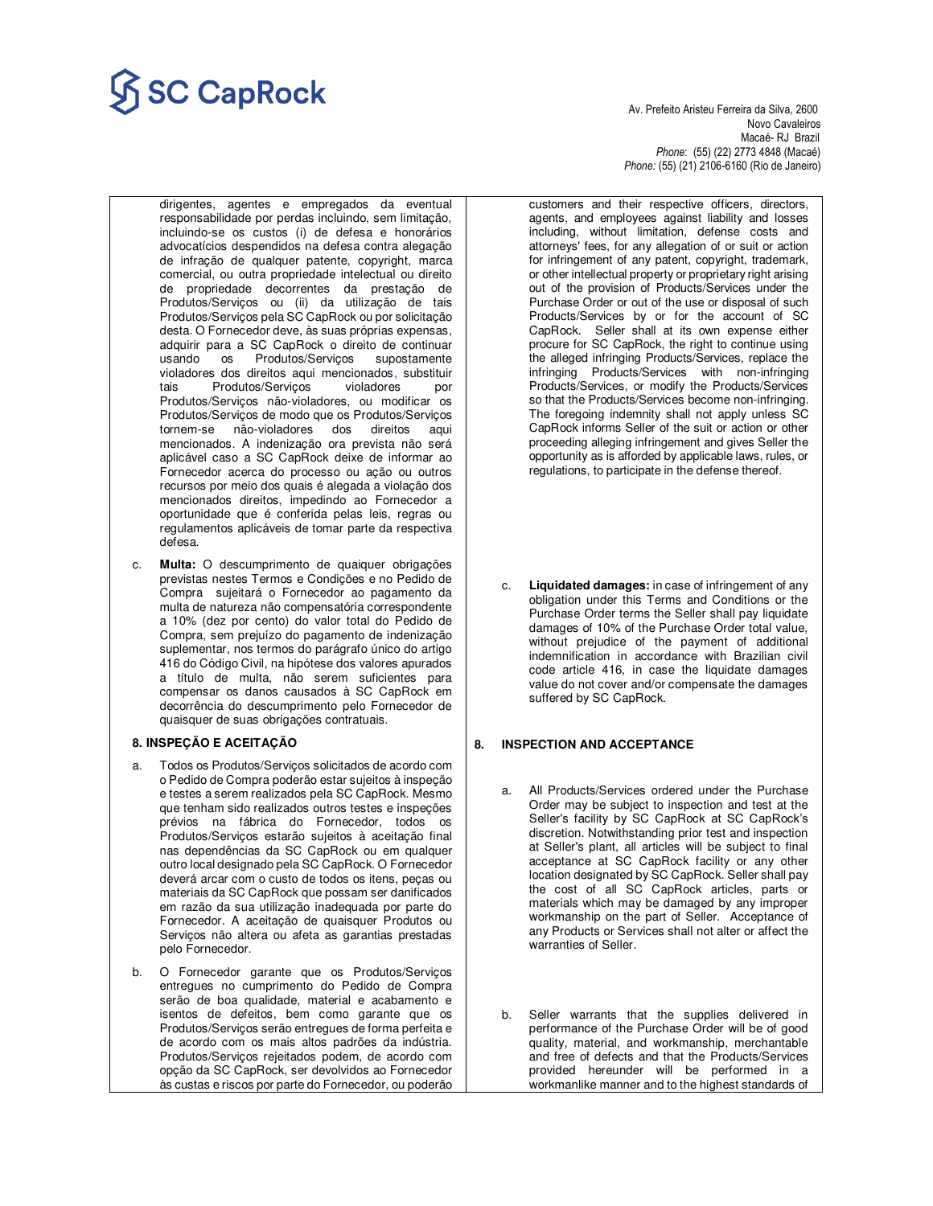# $\overline{\text{SC} \text{CapRock}}$

Novo Cavaleiros<br>Macaé- RJ Brazil Macaé- RJ Brazil *Phone*: (55) (22) 2773 4848 (Macaé) *Phone:* (55) (21) 2106-6160 (Rio de Janeiro)

dirigentes, agentes e empregados da eventual responsabilidade por perdas incluindo, sem limitação, incluindo-se os custos (i) de defesa e honorários advocatícios despendidos na defesa contra alegação de infração de qualquer patente, copyright, marca comercial, ou outra propriedade intelectual ou direito de propriedade decorrentes da prestação de Produtos/Serviços ou (ii) da utilização de tais Produtos/Serviços pela SC CapRock ou por solicitação desta. O Fornecedor deve, às suas próprias expensas, adquirir para a SC CapRock o direito de continuar usando os Produtos/Serviços violadores dos direitos aqui mencionados, substituir tais Produtos/Serviços violadores por Produtos/Serviços não-violadores, ou modificar os Produtos/Serviços de modo que os Produtos/Serviços tornem-se não-violadores dos direitos aqui mencionados. A indenização ora prevista não será aplicável caso a SC CapRock deixe de informar ao Fornecedor acerca do processo ou ação ou outros recursos por meio dos quais é alegada a violação dos mencionados direitos, impedindo ao Fornecedor a oportunidade que é conferida pelas leis, regras ou regulamentos aplicáveis de tomar parte da respectiva defesa.

c. **Multa:** O descumprimento de quaiquer obrigações previstas nestes Termos e Condições e no Pedido de Compra sujeitará o Fornecedor ao pagamento da multa de natureza não compensatória correspondente a 10% (dez por cento) do valor total do Pedido de Compra, sem prejuízo do pagamento de indenização suplementar, nos termos do parágrafo único do artigo 416 do Código Civil, na hipótese dos valores apurados a título de multa, não serem suficientes para compensar os danos causados à SC CapRock em decorrência do descumprimento pelo Fornecedor de quaisquer de suas obrigações contratuais.

# **8. INSPEÇÃO E ACEITAÇÃO**

- a. Todos os Produtos/Serviços solicitados de acordo com o Pedido de Compra poderão estar sujeitos à inspeção e testes a serem realizados pela SC CapRock. Mesmo que tenham sido realizados outros testes e inspeções prévios na fábrica do Fornecedor, todos os Produtos/Serviços estarão sujeitos à aceitação final nas dependências da SC CapRock ou em qualquer outro local designado pela SC CapRock. O Fornecedor deverá arcar com o custo de todos os itens, peças ou materiais da SC CapRock que possam ser danificados em razão da sua utilização inadequada por parte do Fornecedor. A aceitação de quaisquer Produtos ou Serviços não altera ou afeta as garantias prestadas pelo Fornecedor.
- b. O Fornecedor garante que os Produtos/Serviços entregues no cumprimento do Pedido de Compra serão de boa qualidade, material e acabamento e isentos de defeitos, bem como garante que os Produtos/Serviços serão entregues de forma perfeita e de acordo com os mais altos padrões da indústria. Produtos/Serviços rejeitados podem, de acordo com opção da SC CapRock, ser devolvidos ao Fornecedor às custas e riscos por parte do Fornecedor, ou poderão

customers and their respective officers, directors, agents, and employees against liability and losses including, without limitation, defense costs and attorneys' fees, for any allegation of or suit or action for infringement of any patent, copyright, trademark, or other intellectual property or proprietary right arising out of the provision of Products/Services under the Purchase Order or out of the use or disposal of such Products/Services by or for the account of SC CapRock. Seller shall at its own expense either procure for SC CapRock, the right to continue using the alleged infringing Products/Services, replace the infringing Products/Services with non-infringing Products/Services, or modify the Products/Services so that the Products/Services become non-infringing. The foregoing indemnity shall not apply unless SC CapRock informs Seller of the suit or action or other proceeding alleging infringement and gives Seller the opportunity as is afforded by applicable laws, rules, or regulations, to participate in the defense thereof.

Liquidated damages: in case of infringement of any obligation under this Terms and Conditions or the Purchase Order terms the Seller shall pay liquidate damages of 10% of the Purchase Order total value, without prejudice of the payment of additional indemnification in accordance with Brazilian civil code article 416, in case the liquidate damages value do not cover and/or compensate the damages suffered by SC CapRock.

# **8. INSPECTION AND ACCEPTANCE**

- a. All Products/Services ordered under the Purchase Order may be subject to inspection and test at the Seller's facility by SC CapRock at SC CapRock's discretion. Notwithstanding prior test and inspection at Seller's plant, all articles will be subject to final acceptance at SC CapRock facility or any other location designated by SC CapRock. Seller shall pay the cost of all SC CapRock articles, parts or materials which may be damaged by any improper workmanship on the part of Seller. Acceptance of any Products or Services shall not alter or affect the warranties of Seller.
- b. Seller warrants that the supplies delivered in performance of the Purchase Order will be of good quality, material, and workmanship, merchantable and free of defects and that the Products/Services provided hereunder will be performed in a workmanlike manner and to the highest standards of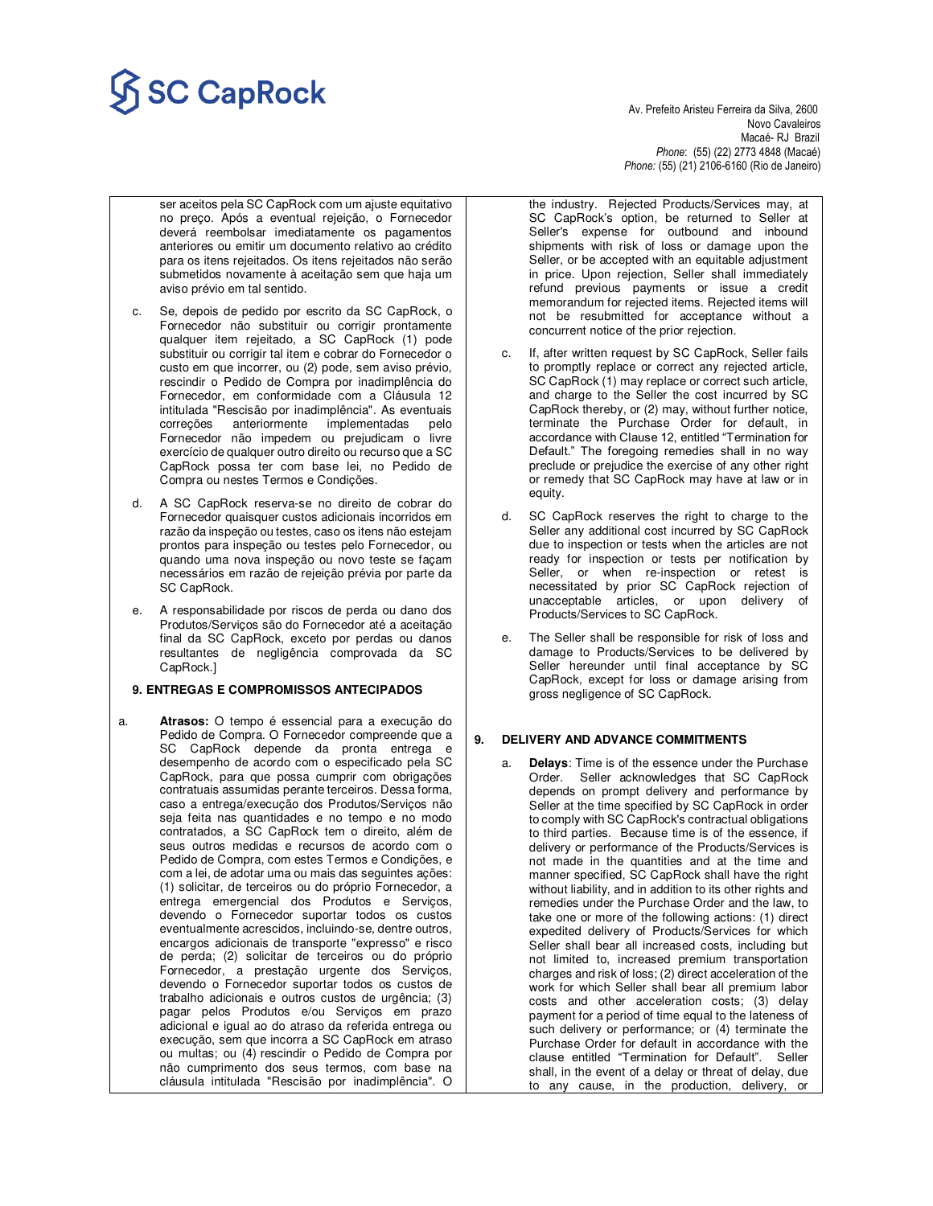# $\overline{\text{SC} \text{CapRock}}$  Av. Prefeito Aristeu Ferreira da Silva, 2600

 Novo Cavaleiros Macaé- RJ Brazil *Phone*: (55) (22) 2773 4848 (Macaé) *Phone:* (55) (21) 2106-6160 (Rio de Janeiro)

- ser aceitos pela SC CapRock com um ajuste equitativo no preço. Após a eventual rejeição, o Fornecedor deverá reembolsar imediatamente os pagamentos anteriores ou emitir um documento relativo ao crédito para os itens rejeitados. Os itens rejeitados não serão submetidos novamente à aceitação sem que haja um aviso prévio em tal sentido.
- c. Se, depois de pedido por escrito da SC CapRock, o Fornecedor não substituir ou corrigir prontamente qualquer item rejeitado, a SC CapRock (1) pode substituir ou corrigir tal item e cobrar do Fornecedor o custo em que incorrer, ou (2) pode, sem aviso prévio, rescindir o Pedido de Compra por inadimplência do Fornecedor, em conformidade com a Cláusula 12 intitulada "Rescisão por inadimplência". As eventuais correções anteriormente implementadas pelo Fornecedor não impedem ou prejudicam o livre exercício de qualquer outro direito ou recurso que a SC CapRock possa ter com base lei, no Pedido de Compra ou nestes Termos e Condições.
- d. A SC CapRock reserva-se no direito de cobrar do Fornecedor quaisquer custos adicionais incorridos em razão da inspeção ou testes, caso os itens não estejam prontos para inspeção ou testes pelo Fornecedor, ou quando uma nova inspeção ou novo teste se façam necessários em razão de rejeição prévia por parte da SC CapRock.
- A responsabilidade por riscos de perda ou dano dos Produtos/Serviços são do Fornecedor até a aceitação final da SC CapRock, exceto por perdas ou danos resultantes de negligência comprovada da SC CapRock.]

### **9. ENTREGAS E COMPROMISSOS ANTECIPADOS**

a. **Atrasos:** O tempo é essencial para a execução do Pedido de Compra. O Fornecedor compreende que a SC CapRock depende da pronta entrega e desempenho de acordo com o especificado pela SC CapRock, para que possa cumprir com obrigações contratuais assumidas perante terceiros. Dessa forma, caso a entrega/execução dos Produtos/Serviços não seja feita nas quantidades e no tempo e no modo contratados, a SC CapRock tem o direito, além de seus outros medidas e recursos de acordo com o Pedido de Compra, com estes Termos e Condições, e com a lei, de adotar uma ou mais das seguintes ações: (1) solicitar, de terceiros ou do próprio Fornecedor, a entrega emergencial dos Produtos e Serviços, devendo o Fornecedor suportar todos os custos eventualmente acrescidos, incluindo-se, dentre outros, encargos adicionais de transporte "expresso" e risco de perda; (2) solicitar de terceiros ou do próprio Fornecedor, a prestação urgente dos Serviços, devendo o Fornecedor suportar todos os custos de trabalho adicionais e outros custos de urgência; (3) pagar pelos Produtos e/ou Serviços em prazo adicional e igual ao do atraso da referida entrega ou execução, sem que incorra a SC CapRock em atraso ou multas; ou (4) rescindir o Pedido de Compra por não cumprimento dos seus termos, com base na cláusula intitulada "Rescisão por inadimplência". O

the industry. Rejected Products/Services may, at SC CapRock's option, be returned to Seller at Seller's expense for outbound and inbound shipments with risk of loss or damage upon the Seller, or be accepted with an equitable adjustment in price. Upon rejection, Seller shall immediately refund previous payments or issue a credit memorandum for rejected items. Rejected items will not be resubmitted for acceptance without a concurrent notice of the prior rejection.

- If, after written request by SC CapRock, Seller fails to promptly replace or correct any rejected article, SC CapRock (1) may replace or correct such article, and charge to the Seller the cost incurred by SC CapRock thereby, or (2) may, without further notice, terminate the Purchase Order for default, in accordance with Clause 12, entitled "Termination for Default." The foregoing remedies shall in no way preclude or prejudice the exercise of any other right or remedy that SC CapRock may have at law or in equity.
- d. SC CapRock reserves the right to charge to the Seller any additional cost incurred by SC CapRock due to inspection or tests when the articles are not ready for inspection or tests per notification by Seller, or when re-inspection or retest is necessitated by prior SC CapRock rejection of unacceptable articles, or upon delivery of Products/Services to SC CapRock.
- e. The Seller shall be responsible for risk of loss and damage to Products/Services to be delivered by Seller hereunder until final acceptance by SC CapRock, except for loss or damage arising from gross negligence of SC CapRock.

### **9. DELIVERY AND ADVANCE COMMITMENTS**

**Delays**: Time is of the essence under the Purchase Order. Seller acknowledges that SC CapRock depends on prompt delivery and performance by Seller at the time specified by SC CapRock in order to comply with SC CapRock's contractual obligations to third parties. Because time is of the essence, if delivery or performance of the Products/Services is not made in the quantities and at the time and manner specified, SC CapRock shall have the right without liability, and in addition to its other rights and remedies under the Purchase Order and the law, to take one or more of the following actions: (1) direct expedited delivery of Products/Services for which Seller shall bear all increased costs, including but not limited to, increased premium transportation charges and risk of loss; (2) direct acceleration of the work for which Seller shall bear all premium labor costs and other acceleration costs; (3) delay payment for a period of time equal to the lateness of such delivery or performance; or (4) terminate the Purchase Order for default in accordance with the clause entitled "Termination for Default". Seller shall, in the event of a delay or threat of delay, due to any cause, in the production, delivery, or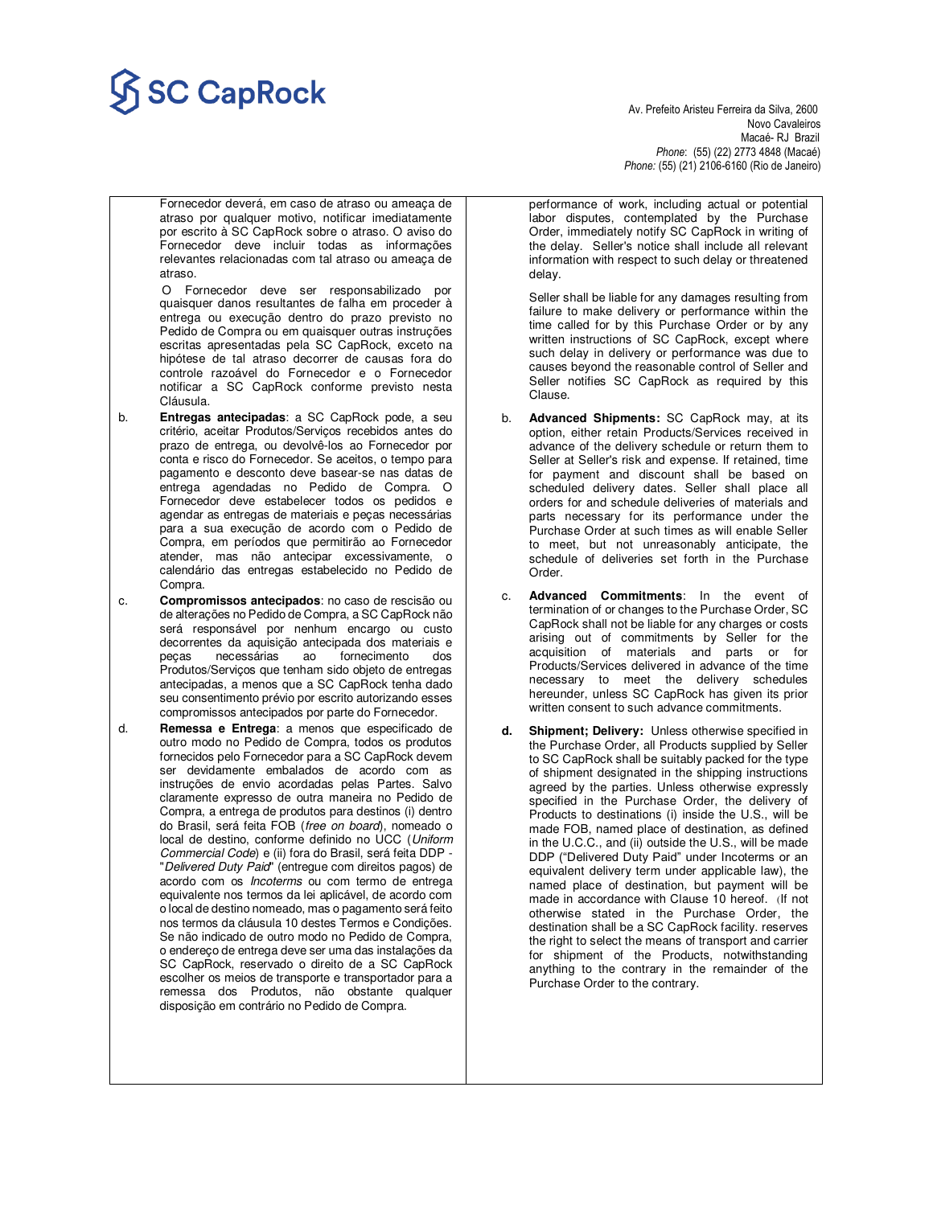# $\overline{\text{SC} \text{CapRock}}$

 Novo Cavaleiros Macaé- RJ Brazil *Phone*: (55) (22) 2773 4848 (Macaé) *Phone:* (55) (21) 2106-6160 (Rio de Janeiro)

Fornecedor deverá, em caso de atraso ou ameaça de atraso por qualquer motivo, notificar imediatamente por escrito à SC CapRock sobre o atraso. O aviso do Fornecedor deve incluir todas as informações relevantes relacionadas com tal atraso ou ameaça de atraso.

 O Fornecedor deve ser responsabilizado por quaisquer danos resultantes de falha em proceder à entrega ou execução dentro do prazo previsto no Pedido de Compra ou em quaisquer outras instruções escritas apresentadas pela SC CapRock, exceto na hipótese de tal atraso decorrer de causas fora do controle razoável do Fornecedor e o Fornecedor notificar a SC CapRock conforme previsto nesta Cláusula.

- b. **Entregas antecipadas**: a SC CapRock pode, a seu critério, aceitar Produtos/Serviços recebidos antes do prazo de entrega, ou devolvê-los ao Fornecedor por conta e risco do Fornecedor. Se aceitos, o tempo para pagamento e desconto deve basear-se nas datas de entrega agendadas no Pedido de Compra. O Fornecedor deve estabelecer todos os pedidos e agendar as entregas de materiais e peças necessárias para a sua execução de acordo com o Pedido de Compra, em períodos que permitirão ao Fornecedor atender, mas não antecipar excessivamente, o calendário das entregas estabelecido no Pedido de Compra
- c. **Compromissos antecipados**: no caso de rescisão ou de alterações no Pedido de Compra, a SC CapRock não será responsável por nenhum encargo ou custo decorrentes da aquisição antecipada dos materiais e peças necessárias ao fornecimento dos Produtos/Serviços que tenham sido objeto de entregas antecipadas, a menos que a SC CapRock tenha dado seu consentimento prévio por escrito autorizando esses compromissos antecipados por parte do Fornecedor.
- d. **Remessa e Entrega**: a menos que especificado de outro modo no Pedido de Compra, todos os produtos fornecidos pelo Fornecedor para a SC CapRock devem ser devidamente embalados de acordo com as instruções de envio acordadas pelas Partes. Salvo claramente expresso de outra maneira no Pedido de Compra, a entrega de produtos para destinos (i) dentro do Brasil, será feita FOB (free on board), nomeado o local de destino, conforme definido no UCC (Uniform Commercial Code) e (ii) fora do Brasil, será feita DDP - "Delivered Duty Paid" (entregue com direitos pagos) de acordo com os Incoterms ou com termo de entrega equivalente nos termos da lei aplicável, de acordo com o local de destino nomeado, mas o pagamento será feito nos termos da cláusula 10 destes Termos e Condições. Se não indicado de outro modo no Pedido de Compra, o endereço de entrega deve ser uma das instalações da SC CapRock, reservado o direito de a SC CapRock escolher os meios de transporte e transportador para a remessa dos Produtos, não obstante qualquer disposição em contrário no Pedido de Compra.

performance of work, including actual or potential labor disputes, contemplated by the Purchase Order, immediately notify SC CapRock in writing of the delay. Seller's notice shall include all relevant information with respect to such delay or threatened delay.

Seller shall be liable for any damages resulting from failure to make delivery or performance within the time called for by this Purchase Order or by any written instructions of SC CapRock, except where such delay in delivery or performance was due to causes beyond the reasonable control of Seller and Seller notifies SC CapRock as required by this Clause.

- b. **Advanced Shipments:** SC CapRock may, at its option, either retain Products/Services received in advance of the delivery schedule or return them to Seller at Seller's risk and expense. If retained, time for payment and discount shall be based on scheduled delivery dates. Seller shall place all orders for and schedule deliveries of materials and parts necessary for its performance under the Purchase Order at such times as will enable Seller to meet, but not unreasonably anticipate, the schedule of deliveries set forth in the Purchase Order.
- c. **Advanced Commitments**: In the event of termination of or changes to the Purchase Order, SC CapRock shall not be liable for any charges or costs arising out of commitments by Seller for the acquisition of materials and parts or for Products/Services delivered in advance of the time necessary to meet the delivery schedules hereunder, unless SC CapRock has given its prior written consent to such advance commitments.
- **d. Shipment; Delivery:** Unless otherwise specified in the Purchase Order, all Products supplied by Seller to SC CapRock shall be suitably packed for the type of shipment designated in the shipping instructions agreed by the parties. Unless otherwise expressly specified in the Purchase Order, the delivery of Products to destinations (i) inside the U.S., will be made FOB, named place of destination, as defined in the U.C.C., and (ii) outside the U.S., will be made DDP ("Delivered Duty Paid" under Incoterms or an equivalent delivery term under applicable law), the named place of destination, but payment will be made in accordance with Clause 10 hereof. (If not otherwise stated in the Purchase Order, the destination shall be a SC CapRock facility. reserves the right to select the means of transport and carrier for shipment of the Products, notwithstanding anything to the contrary in the remainder of the Purchase Order to the contrary.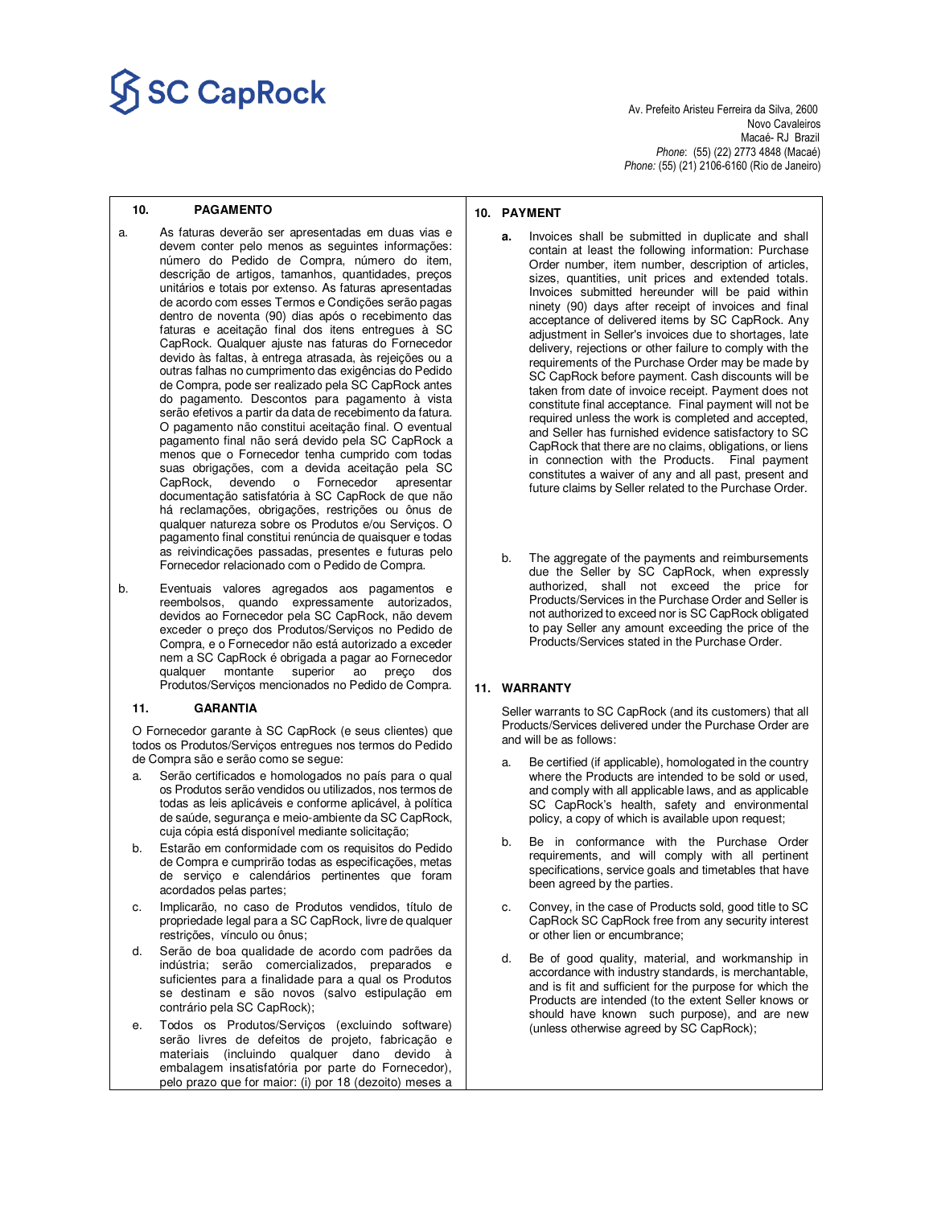# $\overline{\textbf{SC} \textbf{Cap} \textbf{Rock}}$

 Novo Cavaleiros Macaé- RJ Brazil *Phone*: (55) (22) 2773 4848 (Macaé) *Phone:* (55) (21) 2106-6160 (Rio de Janeiro)

#### **10. PAGAMENTO**

- a. As faturas deverão ser apresentadas em duas vias e devem conter pelo menos as seguintes informações: número do Pedido de Compra, número do item, descrição de artigos, tamanhos, quantidades, preços unitários e totais por extenso. As faturas apresentadas de acordo com esses Termos e Condições serão pagas dentro de noventa (90) dias após o recebimento das faturas e aceitação final dos itens entregues à SC CapRock. Qualquer ajuste nas faturas do Fornecedor devido às faltas, à entrega atrasada, às rejeições ou a outras falhas no cumprimento das exigências do Pedido de Compra, pode ser realizado pela SC CapRock antes do pagamento. Descontos para pagamento à vista serão efetivos a partir da data de recebimento da fatura. O pagamento não constitui aceitação final. O eventual pagamento final não será devido pela SC CapRock a menos que o Fornecedor tenha cumprido com todas suas obrigações, com a devida aceitação pela SC CapRock, devendo o Fornecedor apresentar documentação satisfatória à SC CapRock de que não há reclamações, obrigações, restrições ou ônus de qualquer natureza sobre os Produtos e/ou Serviços. O pagamento final constitui renúncia de quaisquer e todas as reivindicações passadas, presentes e futuras pelo Fornecedor relacionado com o Pedido de Compra.
- b. Eventuais valores agregados aos pagamentos e reembolsos, quando expressamente autorizados, devidos ao Fornecedor pela SC CapRock, não devem exceder o preço dos Produtos/Serviços no Pedido de Compra, e o Fornecedor não está autorizado a exceder nem a SC CapRock é obrigada a pagar ao Fornecedor qualquer montante superior ao preço dos Produtos/Serviços mencionados no Pedido de Compra.

#### **11. GARANTIA**

O Fornecedor garante à SC CapRock (e seus clientes) que todos os Produtos/Serviços entregues nos termos do Pedido de Compra são e serão como se segue:

- a. Serão certificados e homologados no país para o qual os Produtos serão vendidos ou utilizados, nos termos de todas as leis aplicáveis e conforme aplicável, à política de saúde, segurança e meio-ambiente da SC CapRock, cuja cópia está disponível mediante solicitação;
- b. Estarão em conformidade com os requisitos do Pedido de Compra e cumprirão todas as especificações, metas de serviço e calendários pertinentes que foram acordados pelas partes;
- c. Implicarão, no caso de Produtos vendidos, título de propriedade legal para a SC CapRock, livre de qualquer restrições, vínculo ou ônus;
- d. Serão de boa qualidade de acordo com padrões da indústria; serão comercializados, preparados e suficientes para a finalidade para a qual os Produtos se destinam e são novos (salvo estipulação em contrário pela SC CapRock);
- e. Todos os Produtos/Serviços (excluindo software) serão livres de defeitos de projeto, fabricação e materiais (incluindo qualquer dano devido à embalagem insatisfatória por parte do Fornecedor), pelo prazo que for maior: (i) por 18 (dezoito) meses a

#### **10. PAYMENT**

- **a.** Invoices shall be submitted in duplicate and shall contain at least the following information: Purchase Order number, item number, description of articles, sizes, quantities, unit prices and extended totals. Invoices submitted hereunder will be paid within ninety (90) days after receipt of invoices and final acceptance of delivered items by SC CapRock. Any adjustment in Seller's invoices due to shortages, late delivery, rejections or other failure to comply with the requirements of the Purchase Order may be made by SC CapRock before payment. Cash discounts will be taken from date of invoice receipt. Payment does not constitute final acceptance. Final payment will not be required unless the work is completed and accepted, and Seller has furnished evidence satisfactory to SC CapRock that there are no claims, obligations, or liens in connection with the Products. Final payment constitutes a waiver of any and all past, present and future claims by Seller related to the Purchase Order.
- b. The aggregate of the payments and reimbursements due the Seller by SC CapRock, when expressly authorized, shall not exceed the price for Products/Services in the Purchase Order and Seller is not authorized to exceed nor is SC CapRock obligated to pay Seller any amount exceeding the price of the Products/Services stated in the Purchase Order.

### **11. WARRANTY**

Seller warrants to SC CapRock (and its customers) that all Products/Services delivered under the Purchase Order are and will be as follows:

- Be certified (if applicable), homologated in the country where the Products are intended to be sold or used, and comply with all applicable laws, and as applicable SC CapRock's health, safety and environmental policy, a copy of which is available upon request;
- b. Be in conformance with the Purchase Order requirements, and will comply with all pertinent specifications, service goals and timetables that have been agreed by the parties.
- c. Convey, in the case of Products sold, good title to SC CapRock SC CapRock free from any security interest or other lien or encumbrance;
- d. Be of good quality, material, and workmanship in accordance with industry standards, is merchantable, and is fit and sufficient for the purpose for which the Products are intended (to the extent Seller knows or should have known such purpose), and are new (unless otherwise agreed by SC CapRock);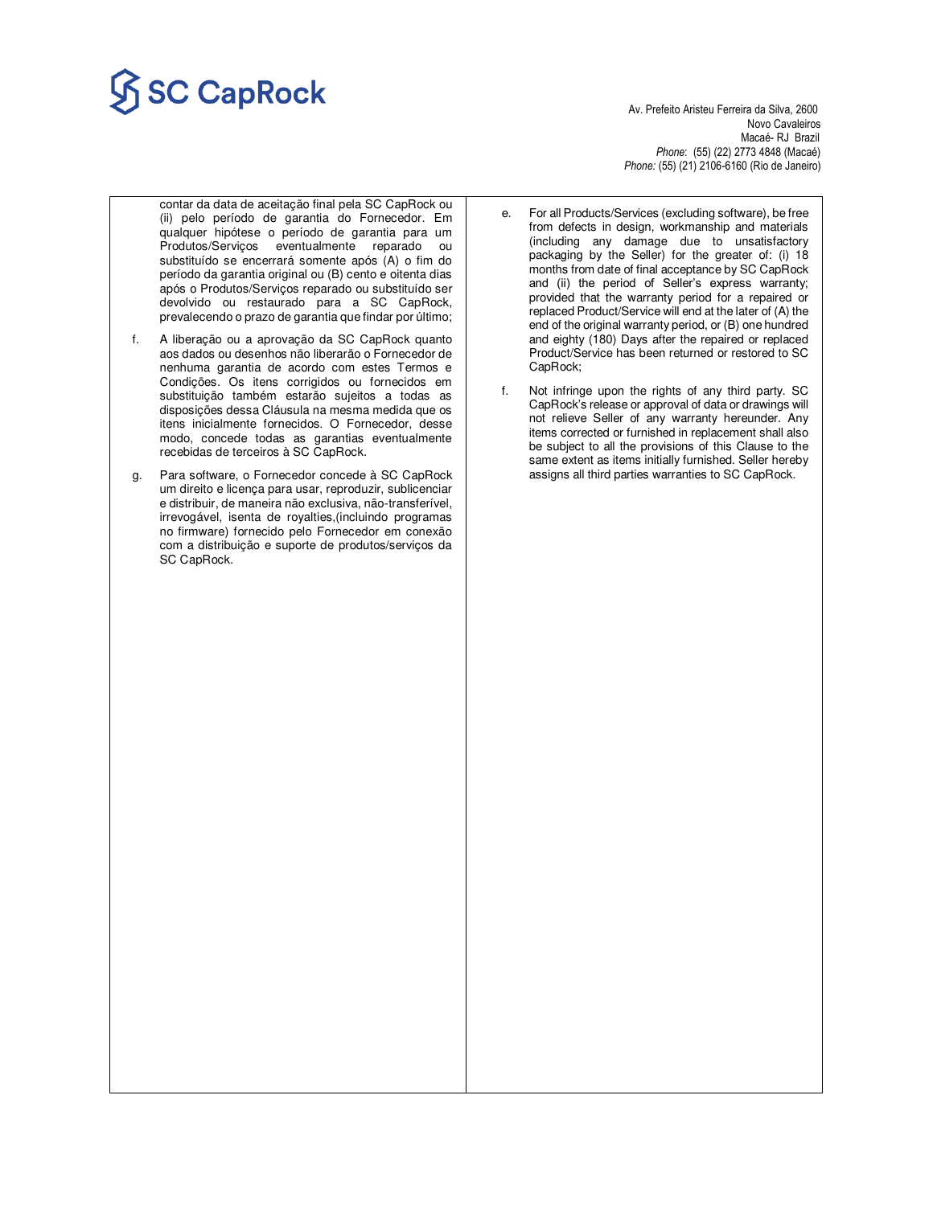# $\widetilde{\mathsf{SCGapRock}}$

Novo Cavaleiros<br>Macaé- RJ Brazil Macaé- RJ Brazil *Phone*: (55) (22) 2773 4848 (Macaé) *Phone:* (55) (21) 2106-6160 (Rio de Janeiro)

- contar da data de aceitação final pela SC CapRock ou (ii) pelo período de garantia do Fornecedor. Em qualquer hipótese o período de garantia para um Produtos/Serviços eventualmente reparado ou substituído se encerrará somente após (A) o fim do período da garantia original ou (B) cento e oitenta dias após o Produtos/Serviços reparado ou substituído ser devolvido ou restaurado para a SC CapRock, prevalecendo o prazo de garantia que findar por último;
- f. A liberação ou a aprovação da SC CapRock quanto aos dados ou desenhos não liberarão o Fornecedor de nenhuma garantia de acordo com estes Termos e Condições. Os itens corrigidos ou fornecidos em substituição também estarão sujeitos a todas as disposições dessa Cláusula na mesma medida que os itens inicialmente fornecidos. O Fornecedor, desse modo, concede todas as garantias eventualmente recebidas de terceiros à SC CapRock.
- g. Para software, o Fornecedor concede à SC CapRock um direito e licença para usar, reproduzir, sublicenciar e distribuir, de maneira não exclusiva, não-transferível, irrevogável, isenta de royalties,(incluindo programas no firmware) fornecido pelo Fornecedor em conexão com a distribuição e suporte de produtos/serviços da SC CapRock.
- e. For all Products/Services (excluding software), be free from defects in design, workmanship and materials (including any damage due to unsatisfactory packaging by the Seller) for the greater of: (i) 18 months from date of final acceptance by SC CapRock and (ii) the period of Seller's express warranty; provided that the warranty period for a repaired or replaced Product/Service will end at the later of (A) the end of the original warranty period, or (B) one hundred and eighty (180) Days after the repaired or replaced Product/Service has been returned or restored to SC CapRock;
- f. Not infringe upon the rights of any third party. SC CapRock's release or approval of data or drawings will not relieve Seller of any warranty hereunder. Any items corrected or furnished in replacement shall also be subject to all the provisions of this Clause to the same extent as items initially furnished. Seller hereby assigns all third parties warranties to SC CapRock.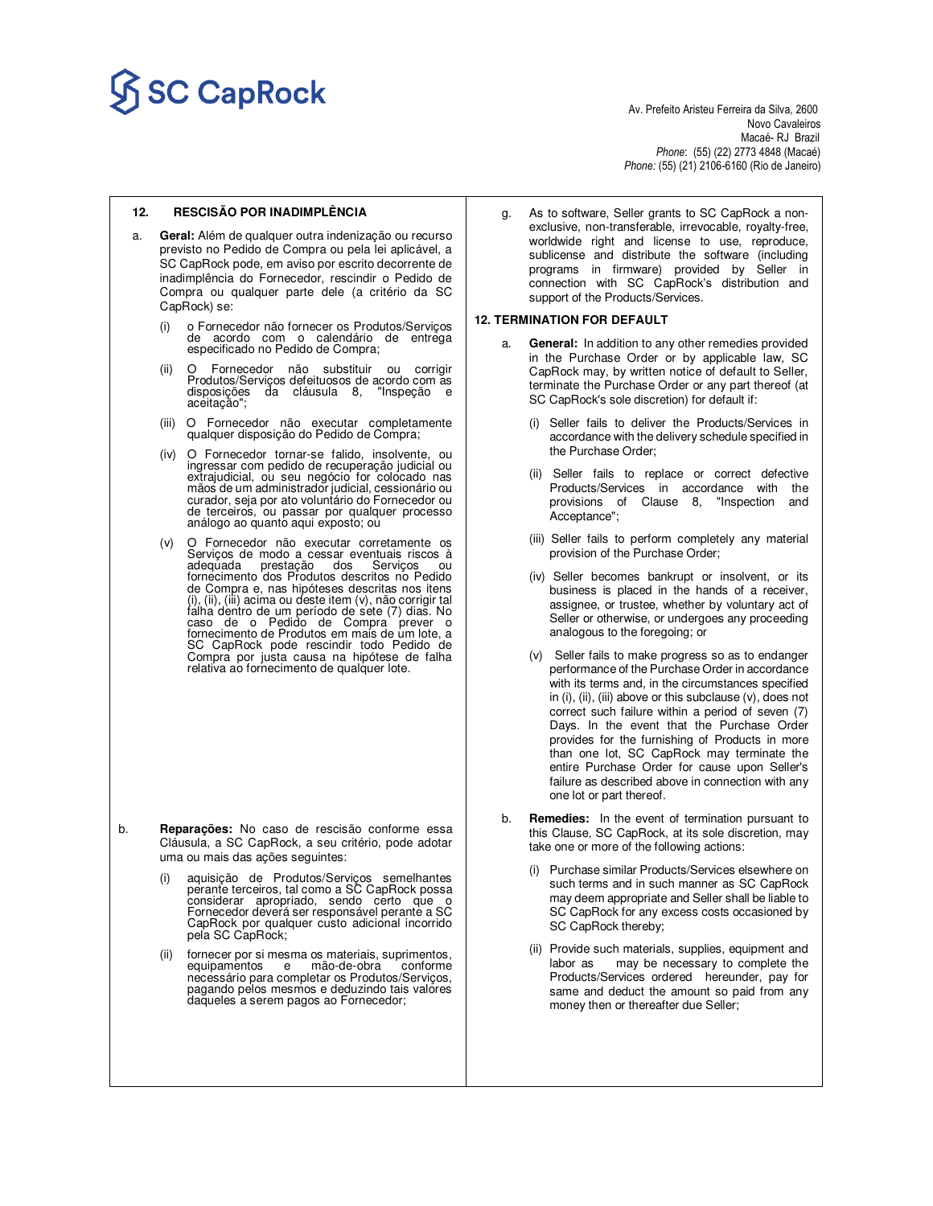

 Novo Cavaleiros Macaé- RJ Brazil *Phone*: (55) (22) 2773 4848 (Macaé) *Phone:* (55) (21) 2106-6160 (Rio de Janeiro)

#### **12. RESCISÃO POR INADIMPLÊNCIA**

- a. **Geral:** Além de qualquer outra indenização ou recurso previsto no Pedido de Compra ou pela lei aplicável, a SC CapRock pode, em aviso por escrito decorrente de inadimplência do Fornecedor, rescindir o Pedido de Compra ou qualquer parte dele (a critério da SC CapRock) se:
	- (i) o Fornecedor não fornecer os Produtos/Serviços de acordo com o calendário de entrega especificado no Pedido de Compra;
	- (ii) O Fornecedor não substituir ou corrigir Produtos/Serviços defeituosos de acordo com as disposições da cláusula 8, "Inspeção e aceitação";
	- (iii) O Fornecedor não executar completamente qualquer disposição do Pedido de Compra;
	- (iv) O Fornecedor tornar-se falido, insolvente, ou ingressar com pedido de recuperação judicial ou extrajudicial, ou seu negócio for colocado nas<br>mãos de um administrador judicial, cessionário ou<br>curador, seja por ato voluntário do Fornecedor ou<br>de terceiros, ou passar por qualquer processo análogo ao quanto aqui exposto; ou
	- (v) O Fornecedor não executar corretamente os Serviços de modo a cessar eventuais riscos à<br>adequada prestação dos Serviços ou prestação dos fornecimento dos Produtos descritos no Pedido de Compra e, nas hipóteses descritas nos itens (i), (ii), (iii) acima ou deste item (v), não corrigir tal falha dentro de um período de sete (7) dias. No caso de o Pedido de Compra prever o fornecimento de Produtos em mais de um lote, a SC CapRock pode rescindir todo Pedido de Compra por justa causa na hipótese de falha relativa ao fornecimento de qualquer lote.

- b. **Reparações:** No caso de rescisão conforme essa Cláusula, a SC CapRock, a seu critério, pode adotar uma ou mais das ações seguintes:
	- (i) aquisição de Produtos/Serviços semelhantes perante terceiros, tal como a SC CapRock possa considerar apropriado, sendo certo que o Fornecedor deverá ser responsável perante a SC CapRock por qualquer custo adicional incorrido pela SC CapRock;
	- (ii) fornecer por si mesma os materiais, suprimentos, equipamentos e mão-de-obra conforme necessário para completar os Produtos/Serviços, pagando pelos mesmos e deduzindo tais valores<br>daqueles a serem pagos ao Fornecedor;

g. As to software, Seller grants to SC CapRock a nonexclusive, non-transferable, irrevocable, royalty-free, worldwide right and license to use, reproduce, sublicense and distribute the software (including programs in firmware) provided by Seller in connection with SC CapRock's distribution and support of the Products/Services.

#### **12. TERMINATION FOR DEFAULT**

- a. **General:** In addition to any other remedies provided in the Purchase Order or by applicable law, SC CapRock may, by written notice of default to Seller, terminate the Purchase Order or any part thereof (at SC CapRock's sole discretion) for default if:
	- (i) Seller fails to deliver the Products/Services in accordance with the delivery schedule specified in the Purchase Order;
	- (ii) Seller fails to replace or correct defective Products/Services in accordance with the provisions of Clause 8, "Inspection and Acceptance";
	- (iii) Seller fails to perform completely any material provision of the Purchase Order;
	- (iv) Seller becomes bankrupt or insolvent, or its business is placed in the hands of a receiver, assignee, or trustee, whether by voluntary act of Seller or otherwise, or undergoes any proceeding analogous to the foregoing; or
	- (v) Seller fails to make progress so as to endanger performance of the Purchase Order in accordance with its terms and, in the circumstances specified in (i), (ii), (iii) above or this subclause (v), does not correct such failure within a period of seven (7) Days. In the event that the Purchase Order provides for the furnishing of Products in more than one lot, SC CapRock may terminate the entire Purchase Order for cause upon Seller's failure as described above in connection with any one lot or part thereof.
- b. **Remedies:** In the event of termination pursuant to this Clause, SC CapRock, at its sole discretion, may take one or more of the following actions:
	- (i) Purchase similar Products/Services elsewhere on such terms and in such manner as SC CapRock may deem appropriate and Seller shall be liable to SC CapRock for any excess costs occasioned by SC CapRock thereby;
	- (ii) Provide such materials, supplies, equipment and labor as may be necessary to complete the Products/Services ordered hereunder, pay for same and deduct the amount so paid from any money then or thereafter due Seller;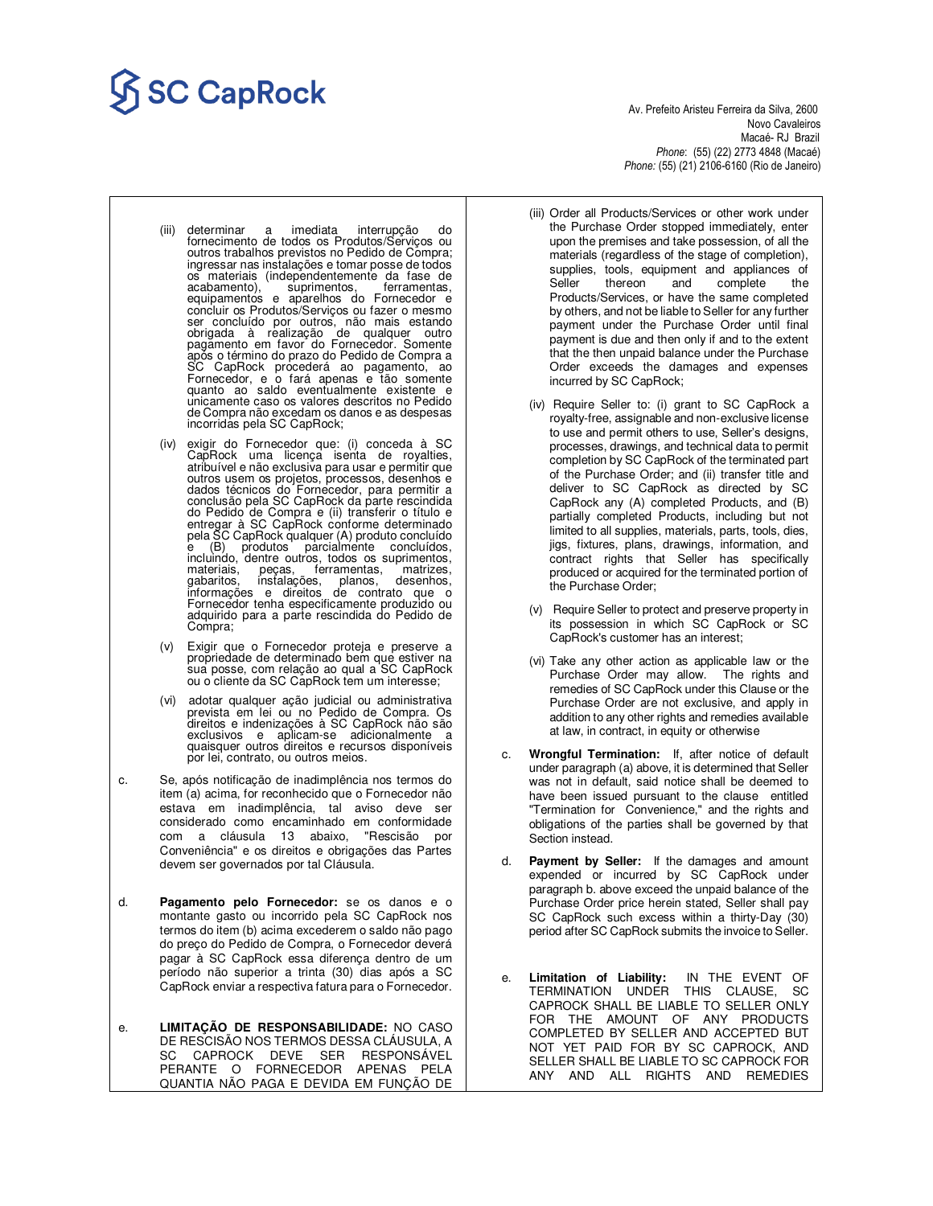# SC CapRock<br>Av. Prefeito Aristeu Ferreira da Silva, 2600

 Novo Cavaleiros Macaé- RJ Brazil *Phone*: (55) (22) 2773 4848 (Macaé) *Phone:* (55) (21) 2106-6160 (Rio de Janeiro)

- (iii) determinar a imediata interrupção do fornecimento de todos os Produtos/Serviços ou outros trabalhos previstos no Pedido de Compra; ingressar nas instalações e tomar posse de todos os materiais (independentemente da fase de acabamento), suprimentos, ferramentas, equipamentos e aparelhos do Fornecedor e concluir os Produtos/Serviços ou fazer o mesmo ser concluído por outros, não mais estando<br>obrigada à realização de qualquer outro<br>pagamento em favor do Fornecedor. Somente<br>após o término do prazo do Pedido de Compra a<br>SC CapRock procederá ao pagamento, ao<br>Fornecedor, e unicamente caso os valores descritos no Pedido de Compra não excedam os danos e as despesas incorridas pela SC CapRock;
- (iv) exigir do Fornecedor que: (i) conceda à SC CapRock uma licença isenta de royalties, atribuível e não exclusiva para usar e permitir que outros usem os projetos, processos, desenhos e dados técnicos do Fornecedor, para permitir a conclusão pela SC CapRock da parte rescindida do Pedido de Compra e (ii) transferir o título e entregar à SC CapRock conforme determinado<br>pela SC CapRock qualquer (A) produto concluído<br>e (B) produtos parcialmente concluídos, incluindo, dentre outros, todos os suprimentos, materiais, peças, ferramentas, matrizes, gabaritos, instalações, planos, desenhos, informações e direitos de contrato que o Fornecedor tenha especificamente produzido ou<br>adquirido para a parte rescindida do Pedido de<br>Compra;
- (v) Exigir que o Fornecedor proteja e preserve a propriedade de determinado bem que estiver na sua posse, com relação ao qual a SC CapRock ou o cliente da SC CapRock tem um interesse;
- (vi) adotar qualquer ação judicial ou administrativa prevista em lei ou no Pedido de Compra. Os direitos e indenizações à SC CapRock não são exclusivos e aplicam-se adicionalmente a quaisquer outros direitos e recursos disponíveis por lei, contrato, ou outros meios.
- c. Se, após notificação de inadimplência nos termos do item (a) acima, for reconhecido que o Fornecedor não estava em inadimplência, tal aviso deve ser considerado como encaminhado em conformidade com a cláusula 13 abaixo, "Rescisão por Conveniência" e os direitos e obrigações das Partes devem ser governados por tal Cláusula.
- d. **Pagamento pelo Fornecedor:** se os danos e o montante gasto ou incorrido pela SC CapRock nos termos do item (b) acima excederem o saldo não pago do preço do Pedido de Compra, o Fornecedor deverá pagar à SC CapRock essa diferença dentro de um período não superior a trinta (30) dias após a SC CapRock enviar a respectiva fatura para o Fornecedor.
- e. **LIMITAÇÃO DE RESPONSABILIDADE:** NO CASO DE RESCISÃO NOS TERMOS DESSA CLÁUSULA, A SC CAPROCK DEVE SER RESPONSÁVEL PERANTE O FORNECEDOR APENAS PELA QUANTIA NÃO PAGA E DEVIDA EM FUNÇÃO DE
- (iii) Order all Products/Services or other work under the Purchase Order stopped immediately, enter upon the premises and take possession, of all the materials (regardless of the stage of completion), supplies, tools, equipment and appliances of Seller thereon and complete the Products/Services, or have the same completed by others, and not be liable to Seller for any further payment under the Purchase Order until final payment is due and then only if and to the extent that the then unpaid balance under the Purchase Order exceeds the damages and expenses incurred by SC CapRock;
- (iv) Require Seller to: (i) grant to SC CapRock a royalty-free, assignable and non-exclusive license to use and permit others to use, Seller's designs, processes, drawings, and technical data to permit completion by SC CapRock of the terminated part of the Purchase Order; and (ii) transfer title and deliver to SC CapRock as directed by SC CapRock any (A) completed Products, and (B) partially completed Products, including but not limited to all supplies, materials, parts, tools, dies, jigs, fixtures, plans, drawings, information, and contract rights that Seller has specifically produced or acquired for the terminated portion of the Purchase Order;
- (v) Require Seller to protect and preserve property in its possession in which SC CapRock or SC CapRock's customer has an interest;
- (vi) Take any other action as applicable law or the Purchase Order may allow. The rights and remedies of SC CapRock under this Clause or the Purchase Order are not exclusive, and apply in addition to any other rights and remedies available at law, in contract, in equity or otherwise
- c. **Wrongful Termination:** If, after notice of default under paragraph (a) above, it is determined that Seller was not in default, said notice shall be deemed to have been issued pursuant to the clause entitled "Termination for Convenience," and the rights and obligations of the parties shall be governed by that Section instead.
- d. **Payment by Seller:** If the damages and amount expended or incurred by SC CapRock under paragraph b. above exceed the unpaid balance of the Purchase Order price herein stated, Seller shall pay SC CapRock such excess within a thirty-Day (30) period after SC CapRock submits the invoice to Seller.
- e. **Limitation of Liability:** IN THE EVENT OF TERMINATION UNDER THIS CLAUSE, SC CAPROCK SHALL BE LIABLE TO SELLER ONLY FOR THE AMOUNT OF ANY PRODUCTS COMPLETED BY SELLER AND ACCEPTED BUT NOT YET PAID FOR BY SC CAPROCK, AND SELLER SHALL BE LIABLE TO SC CAPROCK FOR ANY AND ALL RIGHTS AND REMEDIES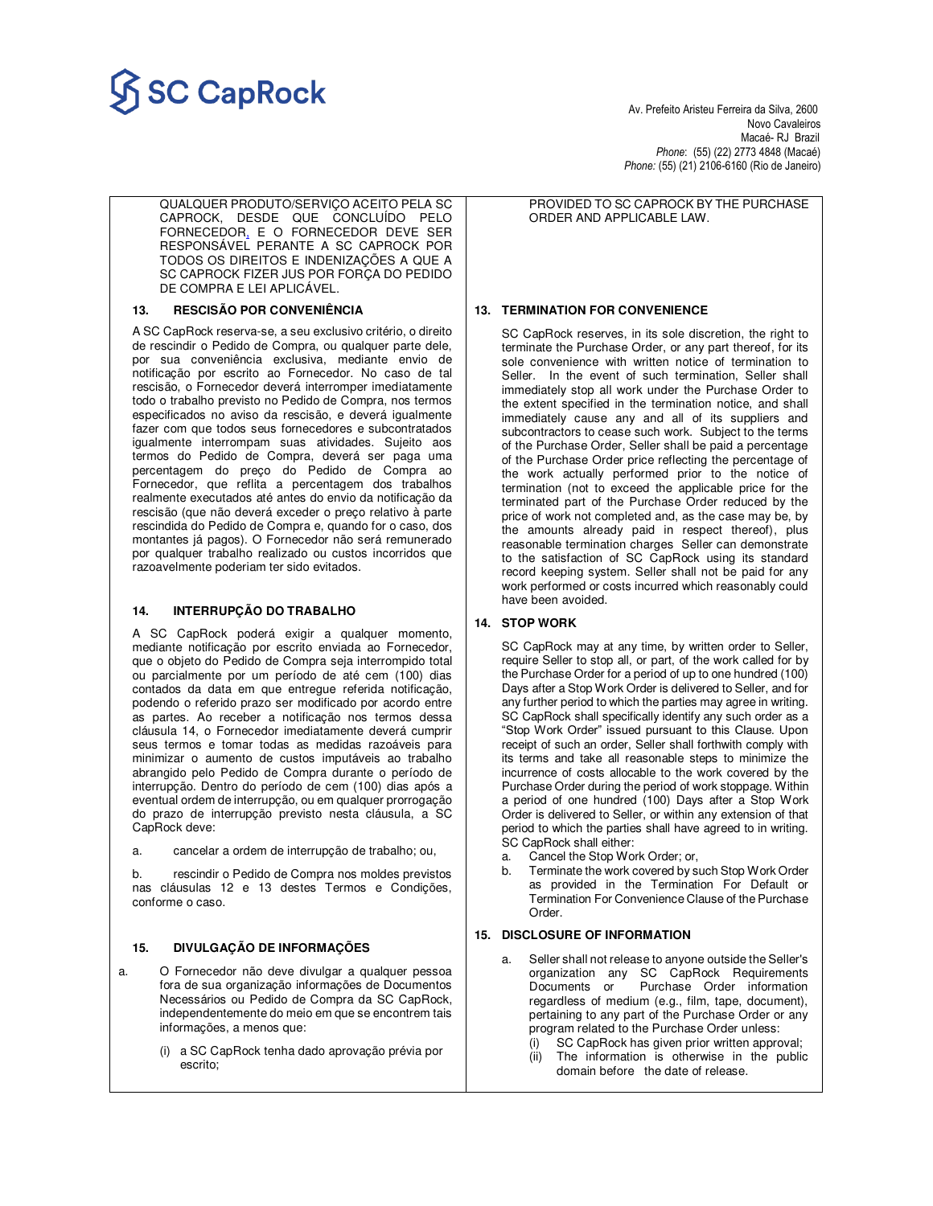

Novo Cavaleiros<br>Macaé- RJ Brazil Macaé- RJ Brazil *Phone*: (55) (22) 2773 4848 (Macaé) *Phone:* (55) (21) 2106-6160 (Rio de Janeiro)

QUALQUER PRODUTO/SERVIÇO ACEITO PELA SC CAPROCK, DESDE QUE CONCLUÍDO PELO FORNECEDOR, E O FORNECEDOR DEVE SER RESPONSÁVEL PERANTE A SC CAPROCK POR TODOS OS DIREITOS E INDENIZAÇÕES A QUE A SC CAPROCK FIZER JUS POR FORÇA DO PEDIDO DE COMPRA E LEI APLICÁVEL.

### **13. RESCISÃO POR CONVENIÊNCIA**

A SC CapRock reserva-se, a seu exclusivo critério, o direito de rescindir o Pedido de Compra, ou qualquer parte dele, por sua conveniência exclusiva, mediante envio de notificação por escrito ao Fornecedor. No caso de tal rescisão, o Fornecedor deverá interromper imediatamente todo o trabalho previsto no Pedido de Compra, nos termos especificados no aviso da rescisão, e deverá igualmente fazer com que todos seus fornecedores e subcontratados igualmente interrompam suas atividades. Sujeito aos termos do Pedido de Compra, deverá ser paga uma percentagem do preço do Pedido de Compra ao Fornecedor, que reflita a percentagem dos trabalhos realmente executados até antes do envio da notificação da rescisão (que não deverá exceder o preço relativo à parte rescindida do Pedido de Compra e, quando for o caso, dos montantes já pagos). O Fornecedor não será remunerado por qualquer trabalho realizado ou custos incorridos que razoavelmente poderiam ter sido evitados.

#### **14. INTERRUPÇÃO DO TRABALHO**

A SC CapRock poderá exigir a qualquer momento, mediante notificação por escrito enviada ao Fornecedor, que o objeto do Pedido de Compra seja interrompido total ou parcialmente por um período de até cem (100) dias contados da data em que entregue referida notificação, podendo o referido prazo ser modificado por acordo entre as partes. Ao receber a notificação nos termos dessa cláusula 14, o Fornecedor imediatamente deverá cumprir seus termos e tomar todas as medidas razoáveis para minimizar o aumento de custos imputáveis ao trabalho abrangido pelo Pedido de Compra durante o período de interrupção. Dentro do período de cem (100) dias após a eventual ordem de interrupção, ou em qualquer prorrogação do prazo de interrupção previsto nesta cláusula, a SC CapRock deve:

a. cancelar a ordem de interrupção de trabalho; ou,

b. rescindir o Pedido de Compra nos moldes previstos nas cláusulas 12 e 13 destes Termos e Condições, conforme o caso.

### **15. DIVULGAÇÃO DE INFORMAÇÕES**

- a. O Fornecedor não deve divulgar a qualquer pessoa fora de sua organização informações de Documentos Necessários ou Pedido de Compra da SC CapRock, independentemente do meio em que se encontrem tais informações, a menos que:
	- (i) a SC CapRock tenha dado aprovação prévia por escrito;

PROVIDED TO SC CAPROCK BY THE PURCHASE ORDER AND APPLICABLE LAW.

### **13. TERMINATION FOR CONVENIENCE**

SC CapRock reserves, in its sole discretion, the right to terminate the Purchase Order, or any part thereof, for its sole convenience with written notice of termination to Seller. In the event of such termination, Seller shall immediately stop all work under the Purchase Order to the extent specified in the termination notice, and shall immediately cause any and all of its suppliers and subcontractors to cease such work. Subject to the terms of the Purchase Order, Seller shall be paid a percentage of the Purchase Order price reflecting the percentage of the work actually performed prior to the notice of termination (not to exceed the applicable price for the terminated part of the Purchase Order reduced by the price of work not completed and, as the case may be, by the amounts already paid in respect thereof), plus reasonable termination charges Seller can demonstrate to the satisfaction of SC CapRock using its standard record keeping system. Seller shall not be paid for any work performed or costs incurred which reasonably could have been avoided.

#### **14. STOP WORK**

SC CapRock may at any time, by written order to Seller, require Seller to stop all, or part, of the work called for by the Purchase Order for a period of up to one hundred (100) Days after a Stop Work Order is delivered to Seller, and for any further period to which the parties may agree in writing. SC CapRock shall specifically identify any such order as a "Stop Work Order" issued pursuant to this Clause. Upon receipt of such an order, Seller shall forthwith comply with its terms and take all reasonable steps to minimize the incurrence of costs allocable to the work covered by the Purchase Order during the period of work stoppage. Within a period of one hundred (100) Days after a Stop Work Order is delivered to Seller, or within any extension of that period to which the parties shall have agreed to in writing. SC CapRock shall either:

- a. Cancel the Stop Work Order; or,
- b. Terminate the work covered by such Stop Work Order as provided in the Termination For Default or Termination For Convenience Clause of the Purchase Order.

#### **15. DISCLOSURE OF INFORMATION**

- a. Seller shall not release to anyone outside the Seller's organization any SC CapRock Requirements Documents or Purchase Order information regardless of medium (e.g., film, tape, document), pertaining to any part of the Purchase Order or any program related to the Purchase Order unless:
	- (i) SC CapRock has given prior written approval;
	- (ii) The information is otherwise in the public domain before the date of release.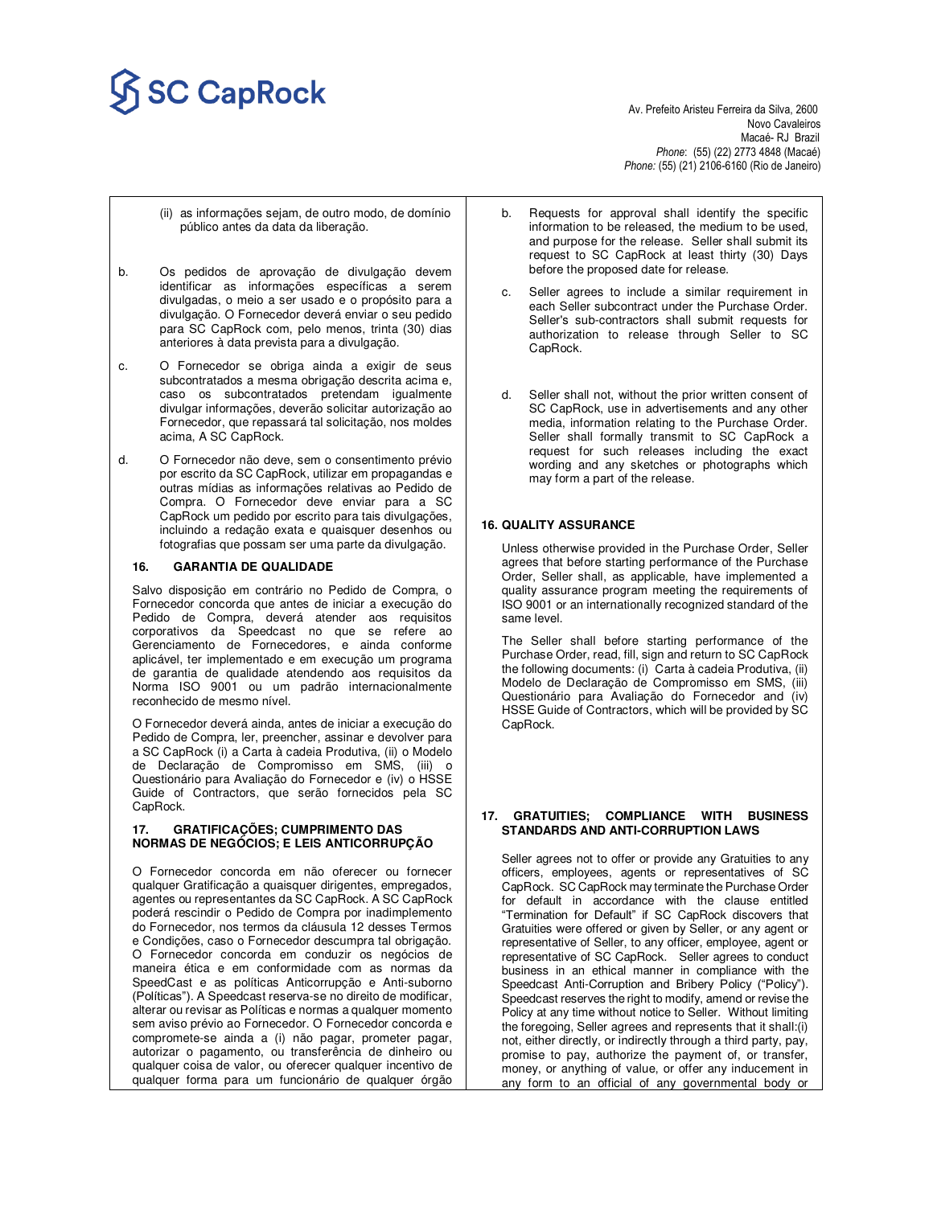# **Av. Prefeito Aristeu Ferreira da Silva, 2600**<br>Av. Prefeito Aristeu Ferreira da Silva, 2600

Novo Cavaleiros<br>Macaé- RJ Brazil Macaé- RJ Brazil *Phone*: (55) (22) 2773 4848 (Macaé) *Phone:* (55) (21) 2106-6160 (Rio de Janeiro)

- (ii) as informações sejam, de outro modo, de domínio público antes da data da liberação.
- b. Os pedidos de aprovação de divulgação devem identificar as informações específicas a serem divulgadas, o meio a ser usado e o propósito para a divulgação. O Fornecedor deverá enviar o seu pedido para SC CapRock com, pelo menos, trinta (30) dias anteriores à data prevista para a divulgação.
- c. O Fornecedor se obriga ainda a exigir de seus subcontratados a mesma obrigação descrita acima e, caso os subcontratados pretendam igualmente divulgar informações, deverão solicitar autorização ao Fornecedor, que repassará tal solicitação, nos moldes acima, A SC CapRock.
- d. O Fornecedor não deve, sem o consentimento prévio por escrito da SC CapRock, utilizar em propagandas e outras mídias as informações relativas ao Pedido de Compra. O Fornecedor deve enviar para a SC CapRock um pedido por escrito para tais divulgações, incluindo a redação exata e quaisquer desenhos ou fotografias que possam ser uma parte da divulgação.

#### **16. GARANTIA DE QUALIDADE**

Salvo disposição em contrário no Pedido de Compra, o Fornecedor concorda que antes de iniciar a execução do Pedido de Compra, deverá atender aos requisitos corporativos da Speedcast no que se refere ao Gerenciamento de Fornecedores, e ainda conforme aplicável, ter implementado e em execução um programa de garantia de qualidade atendendo aos requisitos da Norma ISO 9001 ou um padrão internacionalmente reconhecido de mesmo nível.

O Fornecedor deverá ainda, antes de iniciar a execução do Pedido de Compra, ler, preencher, assinar e devolver para a SC CapRock (i) a Carta à cadeia Produtiva, (ii) o Modelo de Declaração de Compromisso em SMS, (iii) o Questionário para Avaliação do Fornecedor e (iv) o HSSE Guide of Contractors, que serão fornecidos pela SC CapRock.

### **17. GRATIFICAÇÕES; CUMPRIMENTO DAS NORMAS DE NEGÓCIOS; E LEIS ANTICORRUPÇÃO**

O Fornecedor concorda em não oferecer ou fornecer qualquer Gratificação a quaisquer dirigentes, empregados, agentes ou representantes da SC CapRock. A SC CapRock poderá rescindir o Pedido de Compra por inadimplemento do Fornecedor, nos termos da cláusula 12 desses Termos e Condições, caso o Fornecedor descumpra tal obrigação. O Fornecedor concorda em conduzir os negócios de maneira ética e em conformidade com as normas da SpeedCast e as políticas Anticorrupção e Anti-suborno (Políticas"). A Speedcast reserva-se no direito de modificar, alterar ou revisar as Políticas e normas a qualquer momento sem aviso prévio ao Fornecedor. O Fornecedor concorda e compromete-se ainda a (i) não pagar, prometer pagar, autorizar o pagamento, ou transferência de dinheiro ou qualquer coisa de valor, ou oferecer qualquer incentivo de qualquer forma para um funcionário de qualquer órgão

- b. Requests for approval shall identify the specific information to be released, the medium to be used, and purpose for the release. Seller shall submit its request to SC CapRock at least thirty (30) Days before the proposed date for release.
- Seller agrees to include a similar requirement in each Seller subcontract under the Purchase Order. Seller's sub-contractors shall submit requests for authorization to release through Seller to SC CapRock.
- d. Seller shall not, without the prior written consent of SC CapRock, use in advertisements and any other media, information relating to the Purchase Order. Seller shall formally transmit to SC CapRock a request for such releases including the exact wording and any sketches or photographs which may form a part of the release.

### **16. QUALITY ASSURANCE**

Unless otherwise provided in the Purchase Order, Seller agrees that before starting performance of the Purchase Order, Seller shall, as applicable, have implemented a quality assurance program meeting the requirements of ISO 9001 or an internationally recognized standard of the same level.

The Seller shall before starting performance of the Purchase Order, read, fill, sign and return to SC CapRock the following documents: (i) Carta à cadeia Produtiva, (ii) Modelo de Declaração de Compromisso em SMS, (iii) Questionário para Avaliação do Fornecedor and (iv) HSSE Guide of Contractors, which will be provided by SC CapRock.

#### **17. GRATUITIES; COMPLIANCE WITH BUSINESS STANDARDS AND ANTI-CORRUPTION LAWS**

Seller agrees not to offer or provide any Gratuities to any officers, employees, agents or representatives of SC CapRock. SC CapRock may terminate the Purchase Order for default in accordance with the clause entitled "Termination for Default" if SC CapRock discovers that Gratuities were offered or given by Seller, or any agent or representative of Seller, to any officer, employee, agent or representative of SC CapRock. Seller agrees to conduct business in an ethical manner in compliance with the Speedcast Anti-Corruption and Bribery Policy ("Policy"). Speedcast reserves the right to modify, amend or revise the Policy at any time without notice to Seller. Without limiting the foregoing, Seller agrees and represents that it shall:(i) not, either directly, or indirectly through a third party, pay, promise to pay, authorize the payment of, or transfer, money, or anything of value, or offer any inducement in any form to an official of any governmental body or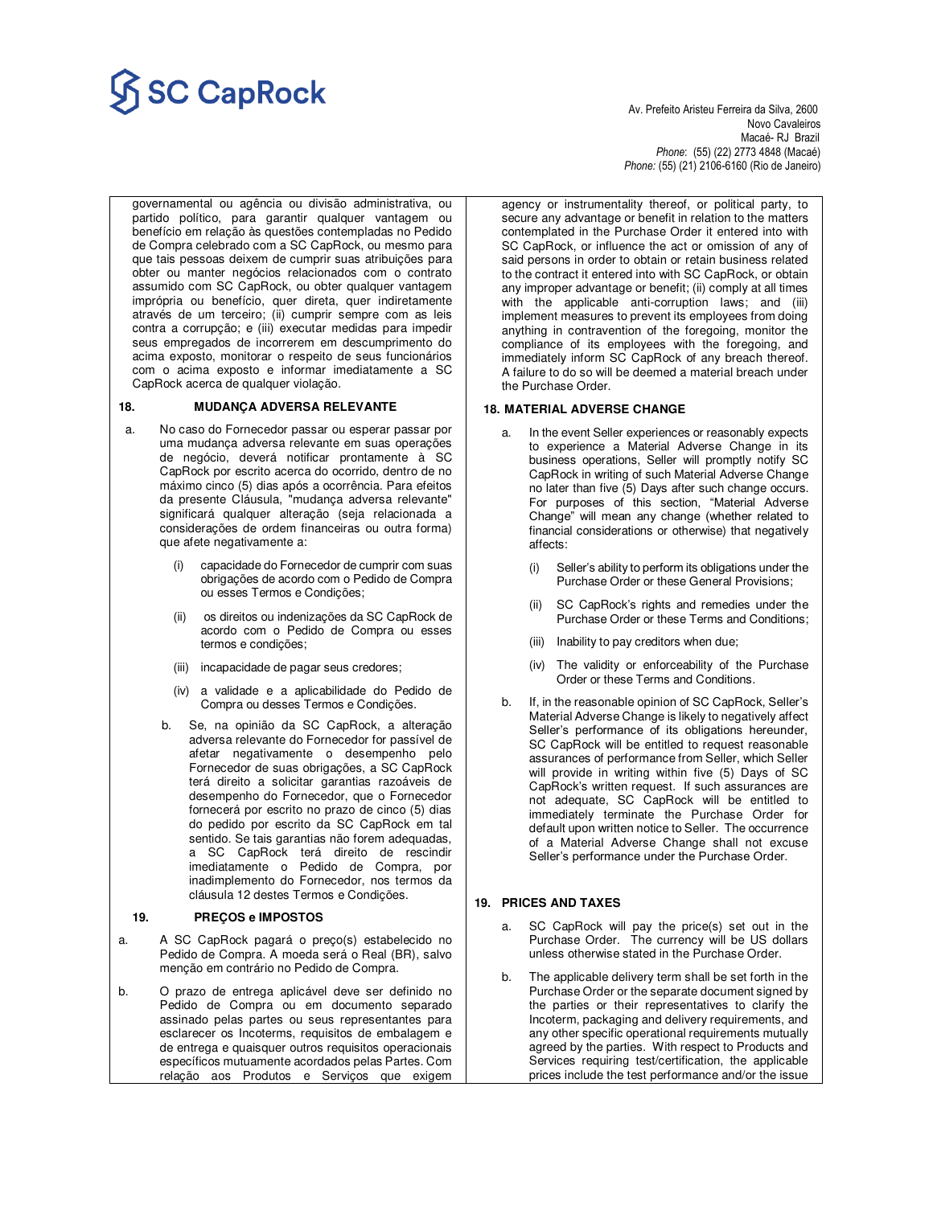# **Av. Prefeito Aristeu Ferreira da Silva, 2600**<br>Av. Prefeito Aristeu Ferreira da Silva, 2600

 Novo Cavaleiros Macaé- RJ Brazil *Phone*: (55) (22) 2773 4848 (Macaé) *Phone:* (55) (21) 2106-6160 (Rio de Janeiro)

governamental ou agência ou divisão administrativa, ou partido político, para garantir qualquer vantagem ou benefício em relação às questões contempladas no Pedido de Compra celebrado com a SC CapRock, ou mesmo para que tais pessoas deixem de cumprir suas atribuições para obter ou manter negócios relacionados com o contrato assumido com SC CapRock, ou obter qualquer vantagem imprópria ou benefício, quer direta, quer indiretamente através de um terceiro; (ii) cumprir sempre com as leis contra a corrupção; e (iii) executar medidas para impedir seus empregados de incorrerem em descumprimento do acima exposto, monitorar o respeito de seus funcionários com o acima exposto e informar imediatamente a SC CapRock acerca de qualquer violação.

### **18. MUDANÇA ADVERSA RELEVANTE**

- a. No caso do Fornecedor passar ou esperar passar por uma mudança adversa relevante em suas operações de negócio, deverá notificar prontamente à SC CapRock por escrito acerca do ocorrido, dentro de no máximo cinco (5) dias após a ocorrência. Para efeitos da presente Cláusula, "mudança adversa relevante" significará qualquer alteração (seja relacionada a considerações de ordem financeiras ou outra forma) que afete negativamente a:
	- capacidade do Fornecedor de cumprir com suas obrigações de acordo com o Pedido de Compra ou esses Termos e Condições;
	- (ii) os direitos ou indenizações da SC CapRock de acordo com o Pedido de Compra ou esses termos e condições;
	- (iii) incapacidade de pagar seus credores;
	- (iv) a validade e a aplicabilidade do Pedido de Compra ou desses Termos e Condições.
	- b. Se, na opinião da SC CapRock, a alteração adversa relevante do Fornecedor for passível de afetar negativamente o desempenho pelo Fornecedor de suas obrigações, a SC CapRock terá direito a solicitar garantias razoáveis de desempenho do Fornecedor, que o Fornecedor fornecerá por escrito no prazo de cinco (5) dias do pedido por escrito da SC CapRock em tal sentido. Se tais garantias não forem adequadas, a SC CapRock terá direito de rescindir imediatamente o Pedido de Compra, por inadimplemento do Fornecedor, nos termos da cláusula 12 destes Termos e Condições.

#### **19. PREÇOS e IMPOSTOS**

- a. A SC CapRock pagará o preço(s) estabelecido no Pedido de Compra. A moeda será o Real (BR), salvo menção em contrário no Pedido de Compra.
- b. O prazo de entrega aplicável deve ser definido no Pedido de Compra ou em documento separado assinado pelas partes ou seus representantes para esclarecer os Incoterms, requisitos de embalagem e de entrega e quaisquer outros requisitos operacionais específicos mutuamente acordados pelas Partes. Com relação aos Produtos e Serviços que exigem

agency or instrumentality thereof, or political party, to secure any advantage or benefit in relation to the matters contemplated in the Purchase Order it entered into with SC CapRock, or influence the act or omission of any of said persons in order to obtain or retain business related to the contract it entered into with SC CapRock, or obtain any improper advantage or benefit; (ii) comply at all times with the applicable anti-corruption laws; and (iii) implement measures to prevent its employees from doing anything in contravention of the foregoing, monitor the compliance of its employees with the foregoing, and immediately inform SC CapRock of any breach thereof. A failure to do so will be deemed a material breach under the Purchase Order.

### **18. MATERIAL ADVERSE CHANGE**

- a. In the event Seller experiences or reasonably expects to experience a Material Adverse Change in its business operations, Seller will promptly notify SC CapRock in writing of such Material Adverse Change no later than five (5) Days after such change occurs. For purposes of this section, "Material Adverse Change" will mean any change (whether related to financial considerations or otherwise) that negatively affects:
	- (i) Seller's ability to perform its obligations under the Purchase Order or these General Provisions;
	- (ii) SC CapRock's rights and remedies under the Purchase Order or these Terms and Conditions;
	- (iii) Inability to pay creditors when due;
	- (iv) The validity or enforceability of the Purchase Order or these Terms and Conditions.
- b. If, in the reasonable opinion of SC CapRock, Seller's Material Adverse Change is likely to negatively affect Seller's performance of its obligations hereunder, SC CapRock will be entitled to request reasonable assurances of performance from Seller, which Seller will provide in writing within five (5) Days of SC CapRock's written request. If such assurances are not adequate, SC CapRock will be entitled to immediately terminate the Purchase Order for default upon written notice to Seller. The occurrence of a Material Adverse Change shall not excuse Seller's performance under the Purchase Order.

### **19. PRICES AND TAXES**

- a. SC CapRock will pay the price(s) set out in the Purchase Order. The currency will be US dollars unless otherwise stated in the Purchase Order.
- b. The applicable delivery term shall be set forth in the Purchase Order or the separate document signed by the parties or their representatives to clarify the Incoterm, packaging and delivery requirements, and any other specific operational requirements mutually agreed by the parties. With respect to Products and Services requiring test/certification, the applicable prices include the test performance and/or the issue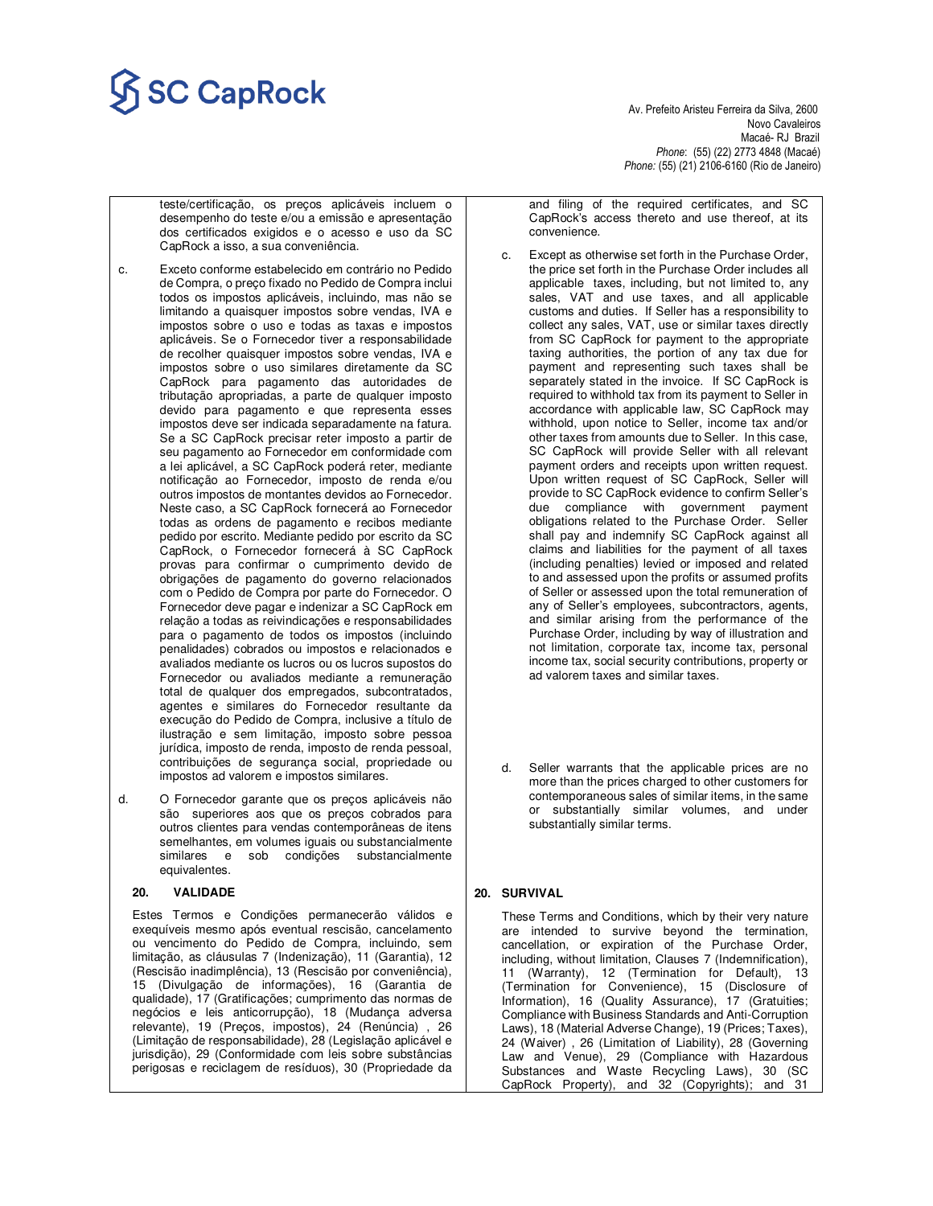# $\overline{\text{SC} \text{CapRock}}$  Av. Prefeito Aristeu Ferreira da Silva, 2600

 Novo Cavaleiros Macaé- RJ Brazil *Phone*: (55) (22) 2773 4848 (Macaé) *Phone:* (55) (21) 2106-6160 (Rio de Janeiro)

teste/certificação, os preços aplicáveis incluem o desempenho do teste e/ou a emissão e apresentação dos certificados exigidos e o acesso e uso da SC CapRock a isso, a sua conveniência.

- c. Exceto conforme estabelecido em contrário no Pedido de Compra, o preço fixado no Pedido de Compra inclui todos os impostos aplicáveis, incluindo, mas não se limitando a quaisquer impostos sobre vendas, IVA e impostos sobre o uso e todas as taxas e impostos aplicáveis. Se o Fornecedor tiver a responsabilidade de recolher quaisquer impostos sobre vendas, IVA e impostos sobre o uso similares diretamente da SC CapRock para pagamento das autoridades de tributação apropriadas, a parte de qualquer imposto devido para pagamento e que representa esses impostos deve ser indicada separadamente na fatura. Se a SC CapRock precisar reter imposto a partir de seu pagamento ao Fornecedor em conformidade com a lei aplicável, a SC CapRock poderá reter, mediante notificação ao Fornecedor, imposto de renda e/ou outros impostos de montantes devidos ao Fornecedor. Neste caso, a SC CapRock fornecerá ao Fornecedor todas as ordens de pagamento e recibos mediante pedido por escrito. Mediante pedido por escrito da SC CapRock, o Fornecedor fornecerá à SC CapRock provas para confirmar o cumprimento devido de obrigações de pagamento do governo relacionados com o Pedido de Compra por parte do Fornecedor. O Fornecedor deve pagar e indenizar a SC CapRock em relação a todas as reivindicações e responsabilidades para o pagamento de todos os impostos (incluindo penalidades) cobrados ou impostos e relacionados e avaliados mediante os lucros ou os lucros supostos do Fornecedor ou avaliados mediante a remuneração total de qualquer dos empregados, subcontratados, agentes e similares do Fornecedor resultante da execução do Pedido de Compra, inclusive a título de ilustração e sem limitação, imposto sobre pessoa jurídica, imposto de renda, imposto de renda pessoal, contribuições de segurança social, propriedade ou impostos ad valorem e impostos similares.
- d. O Fornecedor garante que os preços aplicáveis não são superiores aos que os preços cobrados para outros clientes para vendas contemporâneas de itens semelhantes, em volumes iguais ou substancialmente similares e sob condições substancialmente equivalentes.

### **20. VALIDADE**

Estes Termos e Condições permanecerão válidos e exequíveis mesmo após eventual rescisão, cancelamento ou vencimento do Pedido de Compra, incluindo, sem limitação, as cláusulas 7 (Indenização), 11 (Garantia), 12 (Rescisão inadimplência), 13 (Rescisão por conveniência), 15 (Divulgação de informações), 16 (Garantia de qualidade), 17 (Gratificações; cumprimento das normas de negócios e leis anticorrupção), 18 (Mudança adversa relevante), 19 (Preços, impostos), 24 (Renúncia) , 26 (Limitação de responsabilidade), 28 (Legislação aplicável e jurisdição), 29 (Conformidade com leis sobre substâncias perigosas e reciclagem de resíduos), 30 (Propriedade da

and filing of the required certificates, and SC CapRock's access thereto and use thereof, at its convenience.

- c. Except as otherwise set forth in the Purchase Order, the price set forth in the Purchase Order includes all applicable taxes, including, but not limited to, any sales, VAT and use taxes, and all applicable customs and duties. If Seller has a responsibility to collect any sales, VAT, use or similar taxes directly from SC CapRock for payment to the appropriate taxing authorities, the portion of any tax due for payment and representing such taxes shall be separately stated in the invoice. If SC CapRock is required to withhold tax from its payment to Seller in accordance with applicable law, SC CapRock may withhold, upon notice to Seller, income tax and/or other taxes from amounts due to Seller. In this case, SC CapRock will provide Seller with all relevant payment orders and receipts upon written request. Upon written request of SC CapRock, Seller will provide to SC CapRock evidence to confirm Seller's due compliance with government payment obligations related to the Purchase Order. Seller shall pay and indemnify SC CapRock against all claims and liabilities for the payment of all taxes (including penalties) levied or imposed and related to and assessed upon the profits or assumed profits of Seller or assessed upon the total remuneration of any of Seller's employees, subcontractors, agents, and similar arising from the performance of the Purchase Order, including by way of illustration and not limitation, corporate tax, income tax, personal income tax, social security contributions, property or ad valorem taxes and similar taxes.
- d. Seller warrants that the applicable prices are no more than the prices charged to other customers for contemporaneous sales of similar items, in the same or substantially similar volumes, and under substantially similar terms.

#### **20. SURVIVAL**

These Terms and Conditions, which by their very nature are intended to survive beyond the termination, cancellation, or expiration of the Purchase Order, including, without limitation, Clauses 7 (Indemnification), 11 (Warranty), 12 (Termination for Default), 13 (Termination for Convenience), 15 (Disclosure of Information), 16 (Quality Assurance), 17 (Gratuities; Compliance with Business Standards and Anti-Corruption Laws), 18 (Material Adverse Change), 19 (Prices; Taxes), 24 (Waiver) , 26 (Limitation of Liability), 28 (Governing Law and Venue), 29 (Compliance with Hazardous Substances and Waste Recycling Laws), 30 (SC CapRock Property), and 32 (Copyrights); and 31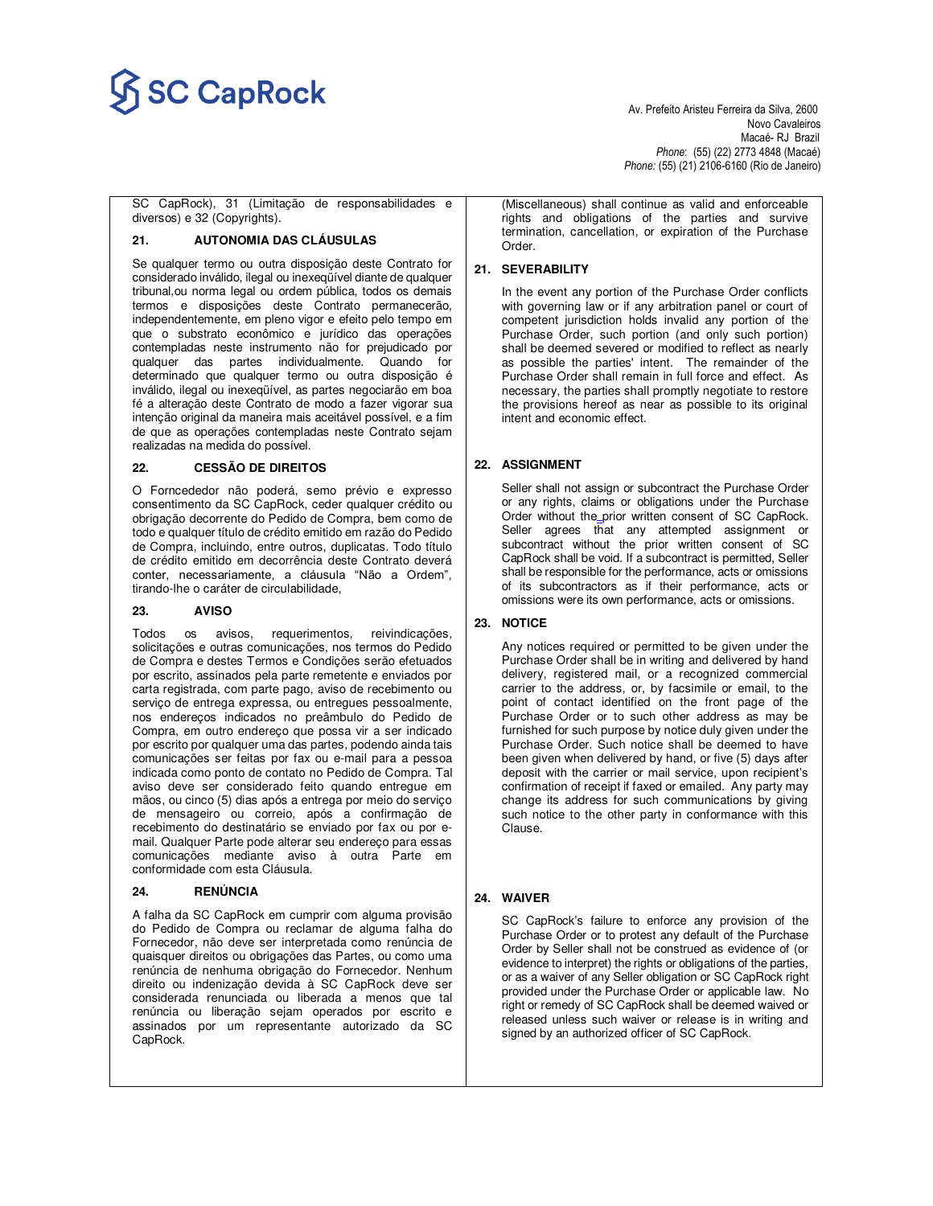

 Novo Cavaleiros Macaé- RJ Brazil *Phone*: (55) (22) 2773 4848 (Macaé) *Phone:* (55) (21) 2106-6160 (Rio de Janeiro)

SC CapRock), 31 (Limitação de responsabilidades e diversos) e 32 (Copyrights).

#### **21. AUTONOMIA DAS CLÁUSULAS**

Se qualquer termo ou outra disposição deste Contrato for considerado inválido, ilegal ou inexeqüível diante de qualquer tribunal,ou norma legal ou ordem pública, todos os demais termos e disposições deste Contrato permanecerão, independentemente, em pleno vigor e efeito pelo tempo em que o substrato econômico e jurídico das operações contempladas neste instrumento não for prejudicado por qualquer das partes individualmente. Quando for determinado que qualquer termo ou outra disposição é inválido, ilegal ou inexeqüível, as partes negociarão em boa fé a alteração deste Contrato de modo a fazer vigorar sua intenção original da maneira mais aceitável possível, e a fim de que as operações contempladas neste Contrato sejam realizadas na medida do possível.

### **22. CESSÃO DE DIREITOS**

O Forncededor não poderá, semo prévio e expresso consentimento da SC CapRock, ceder qualquer crédito ou obrigação decorrente do Pedido de Compra, bem como de todo e qualquer título de crédito emitido em razão do Pedido de Compra, incluindo, entre outros, duplicatas. Todo título de crédito emitido em decorrência deste Contrato deverá conter, necessariamente, a cláusula "Não a Ordem", tirando-lhe o caráter de circulabilidade,

### **23. AVISO**

Todos os avisos, requerimentos, reivindicações, solicitações e outras comunicações, nos termos do Pedido de Compra e destes Termos e Condições serão efetuados por escrito, assinados pela parte remetente e enviados por carta registrada, com parte pago, aviso de recebimento ou serviço de entrega expressa, ou entregues pessoalmente, nos endereços indicados no preâmbulo do Pedido de Compra, em outro endereço que possa vir a ser indicado por escrito por qualquer uma das partes, podendo ainda tais comunicações ser feitas por fax ou e-mail para a pessoa indicada como ponto de contato no Pedido de Compra. Tal aviso deve ser considerado feito quando entregue em mãos, ou cinco (5) dias após a entrega por meio do serviço de mensageiro ou correio, após a confirmação de recebimento do destinatário se enviado por fax ou por email. Qualquer Parte pode alterar seu endereço para essas comunicações mediante aviso à outra Parte em conformidade com esta Cláusula.

#### **24. RENÚNCIA**

A falha da SC CapRock em cumprir com alguma provisão do Pedido de Compra ou reclamar de alguma falha do Fornecedor, não deve ser interpretada como renúncia de quaisquer direitos ou obrigações das Partes, ou como uma renúncia de nenhuma obrigação do Fornecedor. Nenhum direito ou indenização devida à SC CapRock deve ser considerada renunciada ou liberada a menos que tal renúncia ou liberação sejam operados por escrito e assinados por um representante autorizado da SC CapRock.

(Miscellaneous) shall continue as valid and enforceable rights and obligations of the parties and survive termination, cancellation, or expiration of the Purchase Order.

### **21. SEVERABILITY**

In the event any portion of the Purchase Order conflicts with governing law or if any arbitration panel or court of competent jurisdiction holds invalid any portion of the Purchase Order, such portion (and only such portion) shall be deemed severed or modified to reflect as nearly as possible the parties' intent. The remainder of the Purchase Order shall remain in full force and effect. As necessary, the parties shall promptly negotiate to restore the provisions hereof as near as possible to its original intent and economic effect.

### **22. ASSIGNMENT**

Seller shall not assign or subcontract the Purchase Order or any rights, claims or obligations under the Purchase Order without the prior written consent of SC CapRock. Seller agrees that any attempted assignment or subcontract without the prior written consent of SC CapRock shall be void. If a subcontract is permitted, Seller shall be responsible for the performance, acts or omissions of its subcontractors as if their performance, acts or omissions were its own performance, acts or omissions.

### **23. NOTICE**

Any notices required or permitted to be given under the Purchase Order shall be in writing and delivered by hand delivery, registered mail, or a recognized commercial carrier to the address, or, by facsimile or email, to the point of contact identified on the front page of the Purchase Order or to such other address as may be furnished for such purpose by notice duly given under the Purchase Order. Such notice shall be deemed to have been given when delivered by hand, or five (5) days after deposit with the carrier or mail service, upon recipient's confirmation of receipt if faxed or emailed. Any party may change its address for such communications by giving such notice to the other party in conformance with this Clause.

### **24. WAIVER**

SC CapRock's failure to enforce any provision of the Purchase Order or to protest any default of the Purchase Order by Seller shall not be construed as evidence of (or evidence to interpret) the rights or obligations of the parties, or as a waiver of any Seller obligation or SC CapRock right provided under the Purchase Order or applicable law. No right or remedy of SC CapRock shall be deemed waived or released unless such waiver or release is in writing and signed by an authorized officer of SC CapRock.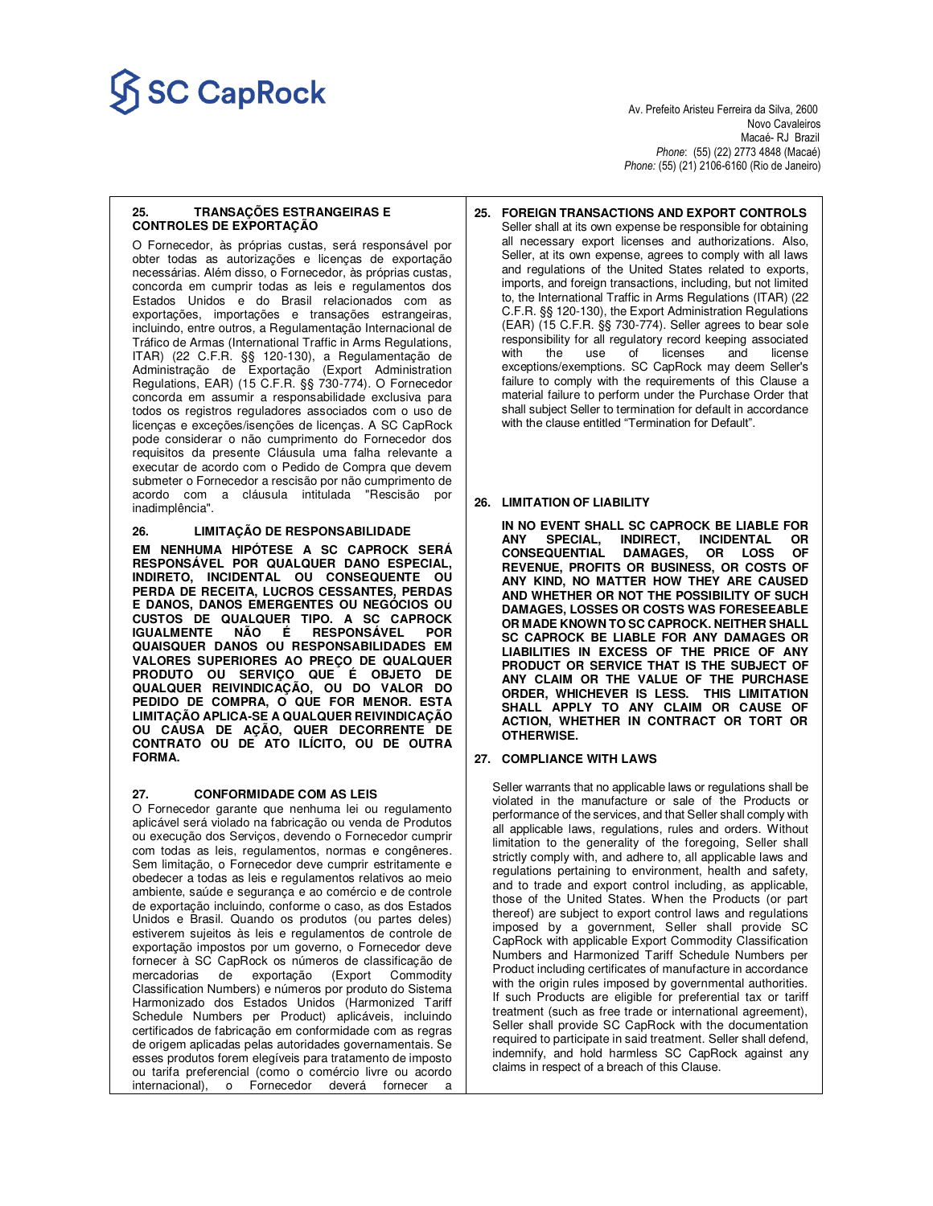# $\overrightarrow{SC}$   $\overrightarrow{GapRock}$

 Novo Cavaleiros Macaé- RJ Brazil *Phone*: (55) (22) 2773 4848 (Macaé) *Phone:* (55) (21) 2106-6160 (Rio de Janeiro)

### **25. TRANSAÇÕES ESTRANGEIRAS E CONTROLES DE EXPORTAÇÃO**

O Fornecedor, às próprias custas, será responsável por obter todas as autorizações e licenças de exportação necessárias. Além disso, o Fornecedor, às próprias custas, concorda em cumprir todas as leis e regulamentos dos Estados Unidos e do Brasil relacionados com as exportações, importações e transações estrangeiras, incluindo, entre outros, a Regulamentação Internacional de Tráfico de Armas (International Traffic in Arms Regulations, ITAR) (22 C.F.R. §§ 120-130), a Regulamentação de Administração de Exportação (Export Administration Regulations, EAR) (15 C.F.R. §§ 730-774). O Fornecedor concorda em assumir a responsabilidade exclusiva para todos os registros reguladores associados com o uso de licenças e exceções/isenções de licenças. A SC CapRock pode considerar o não cumprimento do Fornecedor dos requisitos da presente Cláusula uma falha relevante a executar de acordo com o Pedido de Compra que devem submeter o Fornecedor a rescisão por não cumprimento de acordo com a cláusula intitulada "Rescisão por inadimplência".

### **26. LIMITAÇÃO DE RESPONSABILIDADE**

**EM NENHUMA HIPÓTESE A SC CAPROCK SERÁ RESPONSÁVEL POR QUALQUER DANO ESPECIAL, INDIRETO, INCIDENTAL OU CONSEQUENTE OU PERDA DE RECEITA, LUCROS CESSANTES, PERDAS E DANOS, DANOS EMERGENTES OU NEGÓCIOS OU CUSTOS DE QUALQUER TIPO. A SC CAPROCK IGUALMENTE NÃO É RESPONSÁVEL POR QUAISQUER DANOS OU RESPONSABILIDADES EM VALORES SUPERIORES AO PREÇO DE QUALQUER PRODUTO OU SERVIÇO QUE É OBJETO DE QUALQUER REIVINDICAÇÃO, OU DO VALOR DO PEDIDO DE COMPRA, O QUE FOR MENOR. ESTA LIMITAÇÃO APLICA-SE A QUALQUER REIVINDICAÇÃO OU CAUSA DE AÇÃO, QUER DECORRENTE DE CONTRATO OU DE ATO ILÍCITO, OU DE OUTRA FORMA.** 

### **27. CONFORMIDADE COM AS LEIS**

O Fornecedor garante que nenhuma lei ou regulamento aplicável será violado na fabricação ou venda de Produtos ou execução dos Serviços, devendo o Fornecedor cumprir com todas as leis, regulamentos, normas e congêneres. Sem limitação, o Fornecedor deve cumprir estritamente e obedecer a todas as leis e regulamentos relativos ao meio ambiente, saúde e segurança e ao comércio e de controle de exportação incluindo, conforme o caso, as dos Estados Unidos e Brasil. Quando os produtos (ou partes deles) estiverem sujeitos às leis e regulamentos de controle de exportação impostos por um governo, o Fornecedor deve fornecer à SC CapRock os números de classificação de mercadorias de exportação (Export Commodity Classification Numbers) e números por produto do Sistema Harmonizado dos Estados Unidos (Harmonized Tariff Schedule Numbers per Product) aplicáveis, incluindo certificados de fabricação em conformidade com as regras de origem aplicadas pelas autoridades governamentais. Se esses produtos forem elegíveis para tratamento de imposto ou tarifa preferencial (como o comércio livre ou acordo internacional), o Fornecedor deverá fornecer a

#### **25. FOREIGN TRANSACTIONS AND EXPORT CONTROLS**  Seller shall at its own expense be responsible for obtaining all necessary export licenses and authorizations. Also, Seller, at its own expense, agrees to comply with all laws and regulations of the United States related to exports, imports, and foreign transactions, including, but not limited to, the International Traffic in Arms Regulations (ITAR) (22 C.F.R. §§ 120-130), the Export Administration Regulations (EAR) (15 C.F.R. §§ 730-774). Seller agrees to bear sole responsibility for all regulatory record keeping associated with the use of licenses and license exceptions/exemptions. SC CapRock may deem Seller's failure to comply with the requirements of this Clause a material failure to perform under the Purchase Order that shall subject Seller to termination for default in accordance with the clause entitled "Termination for Default".

# **26. LIMITATION OF LIABILITY**

 **IN NO EVENT SHALL SC CAPROCK BE LIABLE FOR INDIRECT, INCIDENTAL<br>DAMAGES, OR LOSS CONSEQUENTIAL DAMAGES, OR LOSS OF REVENUE, PROFITS OR BUSINESS, OR COSTS OF ANY KIND, NO MATTER HOW THEY ARE CAUSED AND WHETHER OR NOT THE POSSIBILITY OF SUCH DAMAGES, LOSSES OR COSTS WAS FORESEEABLE OR MADE KNOWN TO SC CAPROCK. NEITHER SHALL SC CAPROCK BE LIABLE FOR ANY DAMAGES OR LIABILITIES IN EXCESS OF THE PRICE OF ANY PRODUCT OR SERVICE THAT IS THE SUBJECT OF ANY CLAIM OR THE VALUE OF THE PURCHASE ORDER, WHICHEVER IS LESS. THIS LIMITATION SHALL APPLY TO ANY CLAIM OR CAUSE OF ACTION, WHETHER IN CONTRACT OR TORT OR OTHERWISE.** 

# **27. COMPLIANCE WITH LAWS**

Seller warrants that no applicable laws or regulations shall be violated in the manufacture or sale of the Products or performance of the services, and that Seller shall comply with all applicable laws, regulations, rules and orders. Without limitation to the generality of the foregoing, Seller shall strictly comply with, and adhere to, all applicable laws and regulations pertaining to environment, health and safety, and to trade and export control including, as applicable, those of the United States. When the Products (or part thereof) are subject to export control laws and regulations imposed by a government, Seller shall provide SC CapRock with applicable Export Commodity Classification Numbers and Harmonized Tariff Schedule Numbers per Product including certificates of manufacture in accordance with the origin rules imposed by governmental authorities. If such Products are eligible for preferential tax or tariff treatment (such as free trade or international agreement), Seller shall provide SC CapRock with the documentation required to participate in said treatment. Seller shall defend, indemnify, and hold harmless SC CapRock against any claims in respect of a breach of this Clause.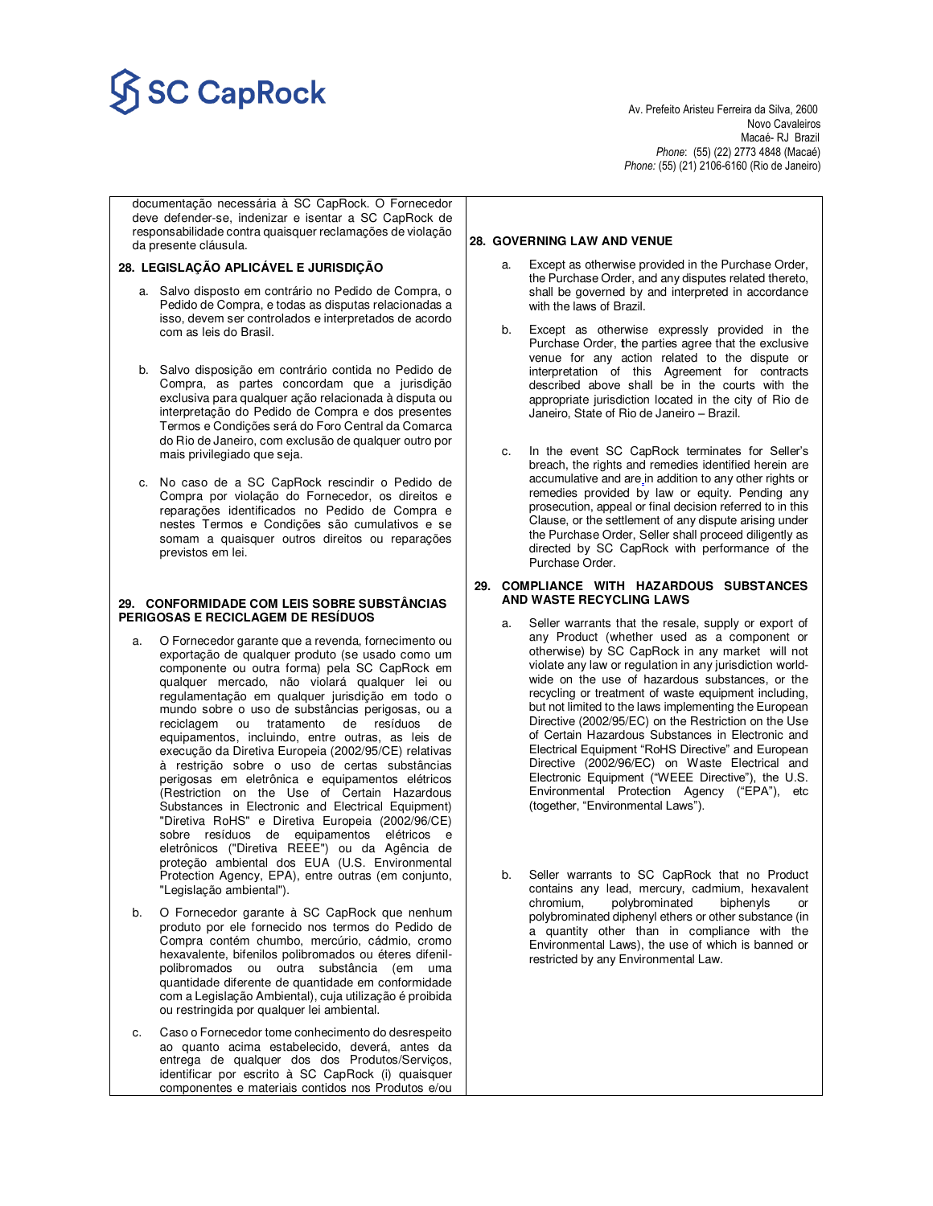# $SC\, Cap Rock$

Novo Cavaleiros<br>Macaé- RJ Brazil Macaé- RJ Brazil *Phone*: (55) (22) 2773 4848 (Macaé) *Phone:* (55) (21) 2106-6160 (Rio de Janeiro)

documentação necessária à SC CapRock. O Fornecedor deve defender-se, indenizar e isentar a SC CapRock de responsabilidade contra quaisquer reclamações de violação da presente cláusula.

### **28. LEGISLAÇÃO APLICÁVEL E JURISDIÇÃO**

- a. Salvo disposto em contrário no Pedido de Compra, o Pedido de Compra, e todas as disputas relacionadas a isso, devem ser controlados e interpretados de acordo com as leis do Brasil.
- b. Salvo disposição em contrário contida no Pedido de Compra, as partes concordam que a jurisdição exclusiva para qualquer ação relacionada à disputa ou interpretação do Pedido de Compra e dos presentes Termos e Condições será do Foro Central da Comarca do Rio de Janeiro, com exclusão de qualquer outro por mais privilegiado que seja.
- c. No caso de a SC CapRock rescindir o Pedido de Compra por violação do Fornecedor, os direitos e reparações identificados no Pedido de Compra e nestes Termos e Condições são cumulativos e se somam a quaisquer outros direitos ou reparações previstos em lei.

### **29. CONFORMIDADE COM LEIS SOBRE SUBSTÂNCIAS PERIGOSAS E RECICLAGEM DE RESÍDUOS**

- a. O Fornecedor garante que a revenda, fornecimento ou exportação de qualquer produto (se usado como um componente ou outra forma) pela SC CapRock em qualquer mercado, não violará qualquer lei ou regulamentação em qualquer jurisdição em todo o mundo sobre o uso de substâncias perigosas, ou a reciclagem ou tratamento de resíduos de equipamentos, incluindo, entre outras, as leis de execução da Diretiva Europeia (2002/95/CE) relativas à restrição sobre o uso de certas substâncias perigosas em eletrônica e equipamentos elétricos (Restriction on the Use of Certain Hazardous Substances in Electronic and Electrical Equipment) "Diretiva RoHS" e Diretiva Europeia (2002/96/CE) sobre resíduos de equipamentos elétricos e eletrônicos ("Diretiva REEE") ou da Agência de proteção ambiental dos EUA (U.S. Environmental Protection Agency, EPA), entre outras (em conjunto, "Legislação ambiental").
- b. O Fornecedor garante à SC CapRock que nenhum produto por ele fornecido nos termos do Pedido de Compra contém chumbo, mercúrio, cádmio, cromo hexavalente, bifenilos polibromados ou éteres difenilpolibromados ou outra substância (em uma quantidade diferente de quantidade em conformidade com a Legislação Ambiental), cuja utilização é proibida ou restringida por qualquer lei ambiental.
- Caso o Fornecedor tome conhecimento do desrespeito ao quanto acima estabelecido, deverá, antes da entrega de qualquer dos dos Produtos/Serviços, identificar por escrito à SC CapRock (i) quaisquer componentes e materiais contidos nos Produtos e/ou

#### **28. GOVERNING LAW AND VENUE**

- Except as otherwise provided in the Purchase Order, the Purchase Order, and any disputes related thereto, shall be governed by and interpreted in accordance with the laws of Brazil.
- b. Except as otherwise expressly provided in the Purchase Order, **t**he parties agree that the exclusive venue for any action related to the dispute or interpretation of this Agreement for contracts described above shall be in the courts with the appropriate jurisdiction located in the city of Rio de Janeiro, State of Rio de Janeiro – Brazil.
- c. In the event SC CapRock terminates for Seller's breach, the rights and remedies identified herein are accumulative and are in addition to any other rights or remedies provided by law or equity. Pending any prosecution, appeal or final decision referred to in this Clause, or the settlement of any dispute arising under the Purchase Order, Seller shall proceed diligently as directed by SC CapRock with performance of the Purchase Order.

### **29. COMPLIANCE WITH HAZARDOUS SUBSTANCES AND WASTE RECYCLING LAWS**

- Seller warrants that the resale, supply or export of any Product (whether used as a component or otherwise) by SC CapRock in any market will not violate any law or regulation in any jurisdiction worldwide on the use of hazardous substances, or the recycling or treatment of waste equipment including, but not limited to the laws implementing the European Directive (2002/95/EC) on the Restriction on the Use of Certain Hazardous Substances in Electronic and Electrical Equipment "RoHS Directive" and European Directive (2002/96/EC) on Waste Electrical and Electronic Equipment ("WEEE Directive"), the U.S. Environmental Protection Agency ("EPA"), etc (together, "Environmental Laws").
- b. Seller warrants to SC CapRock that no Product contains any lead, mercury, cadmium, hexavalent chromium, polybrominated biphenyls or polybrominated diphenyl ethers or other substance (in a quantity other than in compliance with the Environmental Laws), the use of which is banned or restricted by any Environmental Law.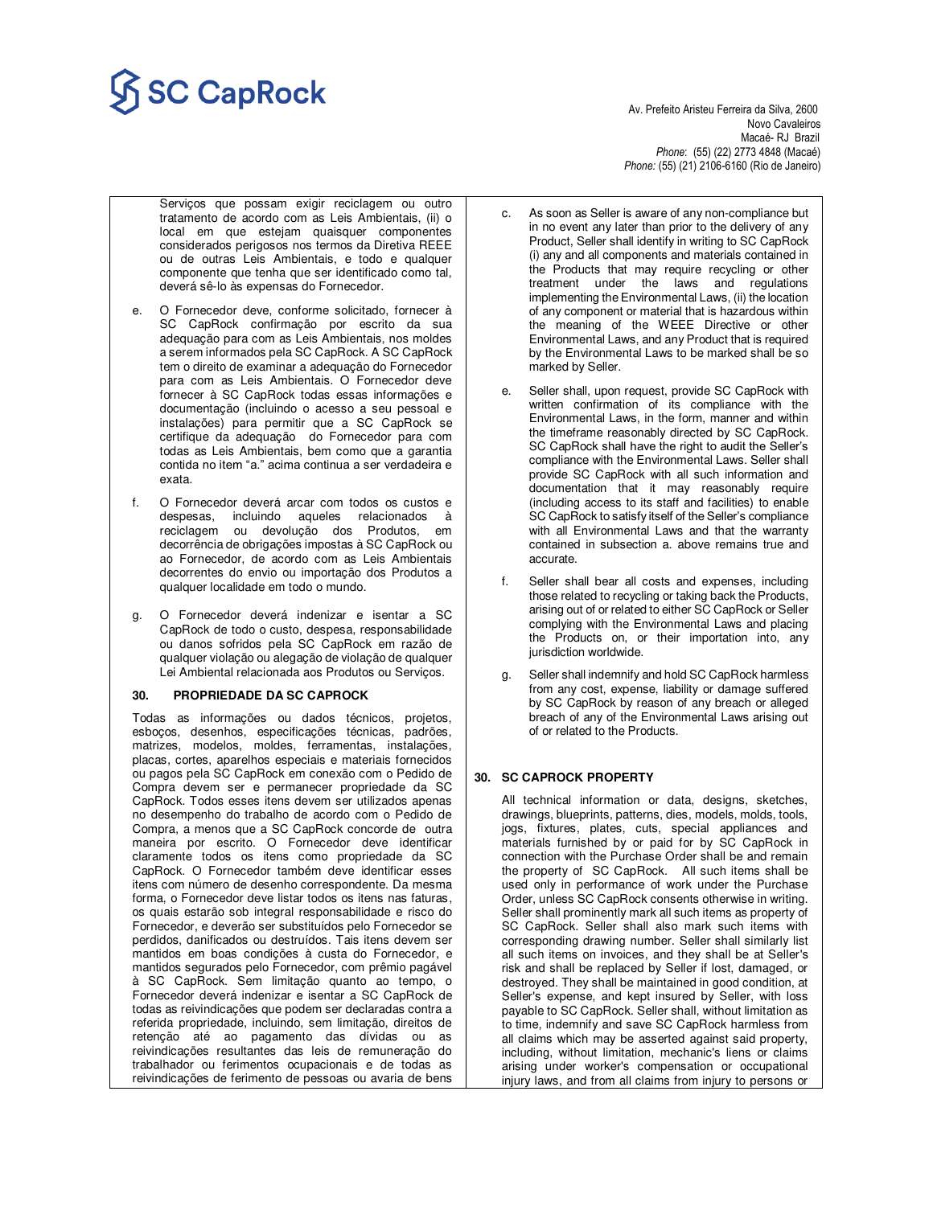# $\overline{\text{SC} \text{CapRock}}$  Av. Prefeito Aristeu Ferreira da Silva, 2600

 Novo Cavaleiros Macaé- RJ Brazil *Phone*: (55) (22) 2773 4848 (Macaé) *Phone:* (55) (21) 2106-6160 (Rio de Janeiro)

- Serviços que possam exigir reciclagem ou outro tratamento de acordo com as Leis Ambientais, (ii) o local em que estejam quaisquer componentes considerados perigosos nos termos da Diretiva REEE ou de outras Leis Ambientais, e todo e qualquer componente que tenha que ser identificado como tal, deverá sê-lo às expensas do Fornecedor.
- e. O Fornecedor deve, conforme solicitado, fornecer à SC CapRock confirmação por escrito da sua adequação para com as Leis Ambientais, nos moldes a serem informados pela SC CapRock. A SC CapRock tem o direito de examinar a adequação do Fornecedor para com as Leis Ambientais. O Fornecedor deve fornecer à SC CapRock todas essas informações e documentação (incluindo o acesso a seu pessoal e instalações) para permitir que a SC CapRock se certifique da adequação do Fornecedor para com todas as Leis Ambientais, bem como que a garantia contida no item "a." acima continua a ser verdadeira e exata.
- f. O Fornecedor deverá arcar com todos os custos e despesas, incluindo aqueles relacionados à reciclagem ou devolução dos Produtos, em decorrência de obrigações impostas à SC CapRock ou ao Fornecedor, de acordo com as Leis Ambientais decorrentes do envio ou importação dos Produtos a qualquer localidade em todo o mundo.
- g. O Fornecedor deverá indenizar e isentar a SC CapRock de todo o custo, despesa, responsabilidade ou danos sofridos pela SC CapRock em razão de qualquer violação ou alegação de violação de qualquer Lei Ambiental relacionada aos Produtos ou Serviços.

### **30. PROPRIEDADE DA SC CAPROCK**

Todas as informações ou dados técnicos, projetos, esboços, desenhos, especificações técnicas, padrões, matrizes, modelos, moldes, ferramentas, instalações, placas, cortes, aparelhos especiais e materiais fornecidos ou pagos pela SC CapRock em conexão com o Pedido de Compra devem ser e permanecer propriedade da SC CapRock. Todos esses itens devem ser utilizados apenas no desempenho do trabalho de acordo com o Pedido de Compra, a menos que a SC CapRock concorde de outra maneira por escrito. O Fornecedor deve identificar claramente todos os itens como propriedade da SC CapRock. O Fornecedor também deve identificar esses itens com número de desenho correspondente. Da mesma forma, o Fornecedor deve listar todos os itens nas faturas, os quais estarão sob integral responsabilidade e risco do Fornecedor, e deverão ser substituídos pelo Fornecedor se perdidos, danificados ou destruídos. Tais itens devem ser mantidos em boas condições à custa do Fornecedor, e mantidos segurados pelo Fornecedor, com prêmio pagável à SC CapRock. Sem limitação quanto ao tempo, o Fornecedor deverá indenizar e isentar a SC CapRock de todas as reivindicações que podem ser declaradas contra a referida propriedade, incluindo, sem limitação, direitos de retenção até ao pagamento das dívidas ou as reivindicações resultantes das leis de remuneração do trabalhador ou ferimentos ocupacionais e de todas as reivindicações de ferimento de pessoas ou avaria de bens

- c. As soon as Seller is aware of any non-compliance but in no event any later than prior to the delivery of any Product, Seller shall identify in writing to SC CapRock (i) any and all components and materials contained in the Products that may require recycling or other treatment under the laws and regulations implementing the Environmental Laws, (ii) the location of any component or material that is hazardous within the meaning of the WEEE Directive or other Environmental Laws, and any Product that is required by the Environmental Laws to be marked shall be so marked by Seller.
- e. Seller shall, upon request, provide SC CapRock with written confirmation of its compliance with the Environmental Laws, in the form, manner and within the timeframe reasonably directed by SC CapRock. SC CapRock shall have the right to audit the Seller's compliance with the Environmental Laws. Seller shall provide SC CapRock with all such information and documentation that it may reasonably require (including access to its staff and facilities) to enable SC CapRock to satisfy itself of the Seller's compliance with all Environmental Laws and that the warranty contained in subsection a. above remains true and accurate.
- f. Seller shall bear all costs and expenses, including those related to recycling or taking back the Products, arising out of or related to either SC CapRock or Seller complying with the Environmental Laws and placing the Products on, or their importation into, any jurisdiction worldwide.
- g. Seller shall indemnify and hold SC CapRock harmless from any cost, expense, liability or damage suffered by SC CapRock by reason of any breach or alleged breach of any of the Environmental Laws arising out of or related to the Products.

# **30. SC CAPROCK PROPERTY**

All technical information or data, designs, sketches, drawings, blueprints, patterns, dies, models, molds, tools, jogs, fixtures, plates, cuts, special appliances and materials furnished by or paid for by SC CapRock in connection with the Purchase Order shall be and remain the property of SC CapRock. All such items shall be used only in performance of work under the Purchase Order, unless SC CapRock consents otherwise in writing. Seller shall prominently mark all such items as property of SC CapRock. Seller shall also mark such items with corresponding drawing number. Seller shall similarly list all such items on invoices, and they shall be at Seller's risk and shall be replaced by Seller if lost, damaged, or destroyed. They shall be maintained in good condition, at Seller's expense, and kept insured by Seller, with loss payable to SC CapRock. Seller shall, without limitation as to time, indemnify and save SC CapRock harmless from all claims which may be asserted against said property, including, without limitation, mechanic's liens or claims arising under worker's compensation or occupational injury laws, and from all claims from injury to persons or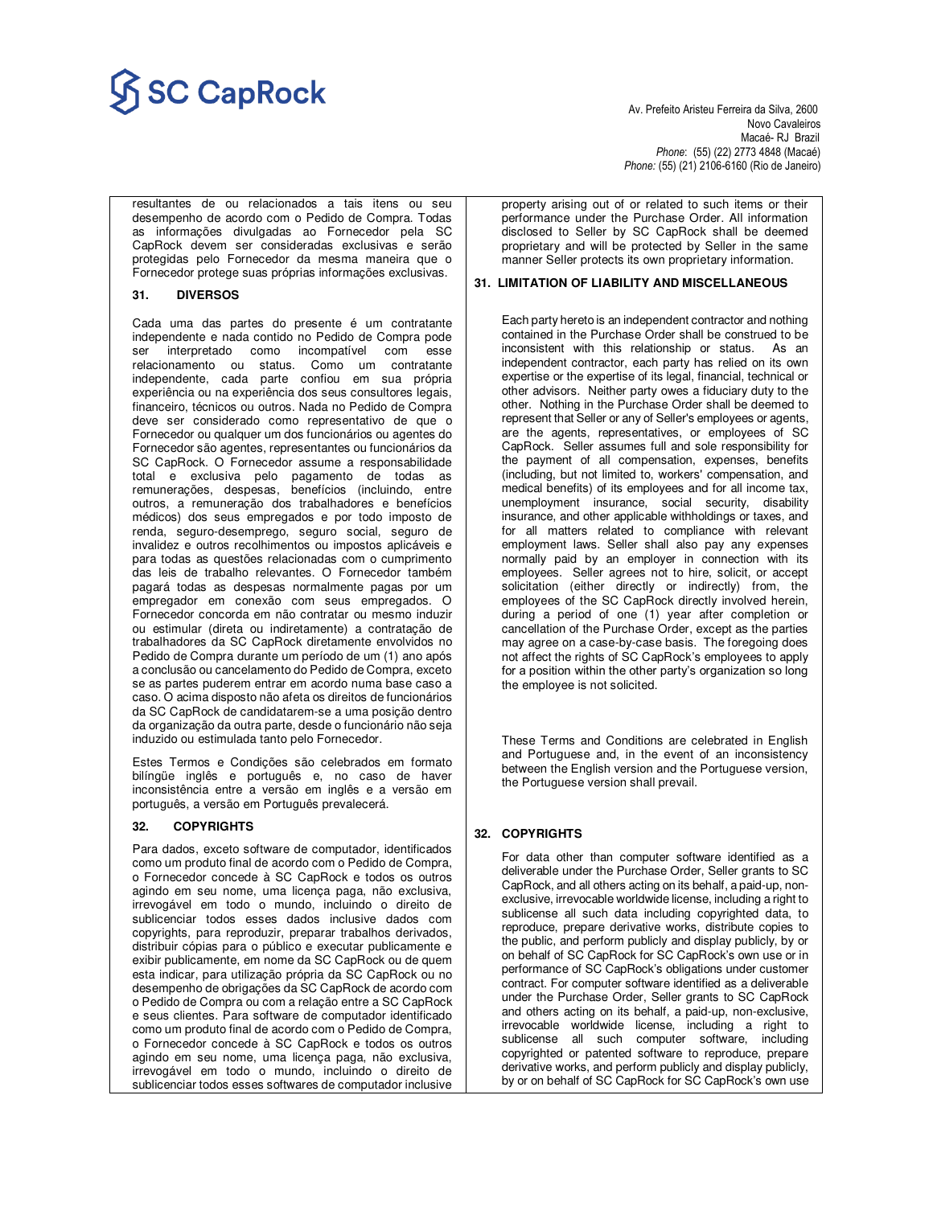# $\overline{\text{SC} \text{CapRock}}$  Av. Prefeito Aristeu Ferreira da Silva, 2600

 Novo Cavaleiros Macaé- RJ Brazil *Phone*: (55) (22) 2773 4848 (Macaé) *Phone:* (55) (21) 2106-6160 (Rio de Janeiro)

resultantes de ou relacionados a tais itens ou seu desempenho de acordo com o Pedido de Compra. Todas as informações divulgadas ao Fornecedor pela SC CapRock devem ser consideradas exclusivas e serão protegidas pelo Fornecedor da mesma maneira que o Fornecedor protege suas próprias informações exclusivas.

### **31. DIVERSOS**

Cada uma das partes do presente é um contratante independente e nada contido no Pedido de Compra pode ser interpretado como incompatível com esse relacionamento ou status. Como um contratante independente, cada parte confiou em sua própria experiência ou na experiência dos seus consultores legais, financeiro, técnicos ou outros. Nada no Pedido de Compra deve ser considerado como representativo de que o Fornecedor ou qualquer um dos funcionários ou agentes do Fornecedor são agentes, representantes ou funcionários da SC CapRock. O Fornecedor assume a responsabilidade total e exclusiva pelo pagamento de todas as remunerações, despesas, benefícios (incluindo, entre outros, a remuneração dos trabalhadores e benefícios médicos) dos seus empregados e por todo imposto de renda, seguro-desemprego, seguro social, seguro de invalidez e outros recolhimentos ou impostos aplicáveis e para todas as questões relacionadas com o cumprimento das leis de trabalho relevantes. O Fornecedor também pagará todas as despesas normalmente pagas por um empregador em conexão com seus empregados. O Fornecedor concorda em não contratar ou mesmo induzir ou estimular (direta ou indiretamente) a contratação de trabalhadores da SC CapRock diretamente envolvidos no Pedido de Compra durante um período de um (1) ano após a conclusão ou cancelamento do Pedido de Compra, exceto se as partes puderem entrar em acordo numa base caso a caso. O acima disposto não afeta os direitos de funcionários da SC CapRock de candidatarem-se a uma posição dentro da organização da outra parte, desde o funcionário não seja induzido ou estimulada tanto pelo Fornecedor.

Estes Termos e Condições são celebrados em formato bilíngüe inglês e português e, no caso de haver inconsistência entre a versão em inglês e a versão em português, a versão em Português prevalecerá.

### **32. COPYRIGHTS**

Para dados, exceto software de computador, identificados como um produto final de acordo com o Pedido de Compra, o Fornecedor concede à SC CapRock e todos os outros agindo em seu nome, uma licença paga, não exclusiva, irrevogável em todo o mundo, incluindo o direito de sublicenciar todos esses dados inclusive dados com copyrights, para reproduzir, preparar trabalhos derivados, distribuir cópias para o público e executar publicamente e exibir publicamente, em nome da SC CapRock ou de quem esta indicar, para utilização própria da SC CapRock ou no desempenho de obrigações da SC CapRock de acordo com o Pedido de Compra ou com a relação entre a SC CapRock e seus clientes. Para software de computador identificado como um produto final de acordo com o Pedido de Compra, o Fornecedor concede à SC CapRock e todos os outros agindo em seu nome, uma licença paga, não exclusiva, irrevogável em todo o mundo, incluindo o direito de sublicenciar todos esses softwares de computador inclusive

property arising out of or related to such items or their performance under the Purchase Order. All information disclosed to Seller by SC CapRock shall be deemed proprietary and will be protected by Seller in the same manner Seller protects its own proprietary information.

### **31. LIMITATION OF LIABILITY AND MISCELLANEOUS**

Each party hereto is an independent contractor and nothing contained in the Purchase Order shall be construed to be inconsistent with this relationship or status. As an independent contractor, each party has relied on its own expertise or the expertise of its legal, financial, technical or other advisors. Neither party owes a fiduciary duty to the other. Nothing in the Purchase Order shall be deemed to represent that Seller or any of Seller's employees or agents, are the agents, representatives, or employees of SC CapRock. Seller assumes full and sole responsibility for the payment of all compensation, expenses, benefits (including, but not limited to, workers' compensation, and medical benefits) of its employees and for all income tax, unemployment insurance, social security, disability insurance, and other applicable withholdings or taxes, and for all matters related to compliance with relevant employment laws. Seller shall also pay any expenses normally paid by an employer in connection with its employees. Seller agrees not to hire, solicit, or accept solicitation (either directly or indirectly) from, the employees of the SC CapRock directly involved herein, during a period of one (1) year after completion or cancellation of the Purchase Order, except as the parties may agree on a case-by-case basis. The foregoing does not affect the rights of SC CapRock's employees to apply for a position within the other party's organization so long the employee is not solicited.

These Terms and Conditions are celebrated in English and Portuguese and, in the event of an inconsistency between the English version and the Portuguese version, the Portuguese version shall prevail.

### **32. COPYRIGHTS**

For data other than computer software identified as a deliverable under the Purchase Order, Seller grants to SC CapRock, and all others acting on its behalf, a paid-up, nonexclusive, irrevocable worldwide license, including a right to sublicense all such data including copyrighted data, to reproduce, prepare derivative works, distribute copies to the public, and perform publicly and display publicly, by or on behalf of SC CapRock for SC CapRock's own use or in performance of SC CapRock's obligations under customer contract. For computer software identified as a deliverable under the Purchase Order, Seller grants to SC CapRock and others acting on its behalf, a paid-up, non-exclusive, irrevocable worldwide license, including a right to sublicense all such computer software, including copyrighted or patented software to reproduce, prepare derivative works, and perform publicly and display publicly, by or on behalf of SC CapRock for SC CapRock's own use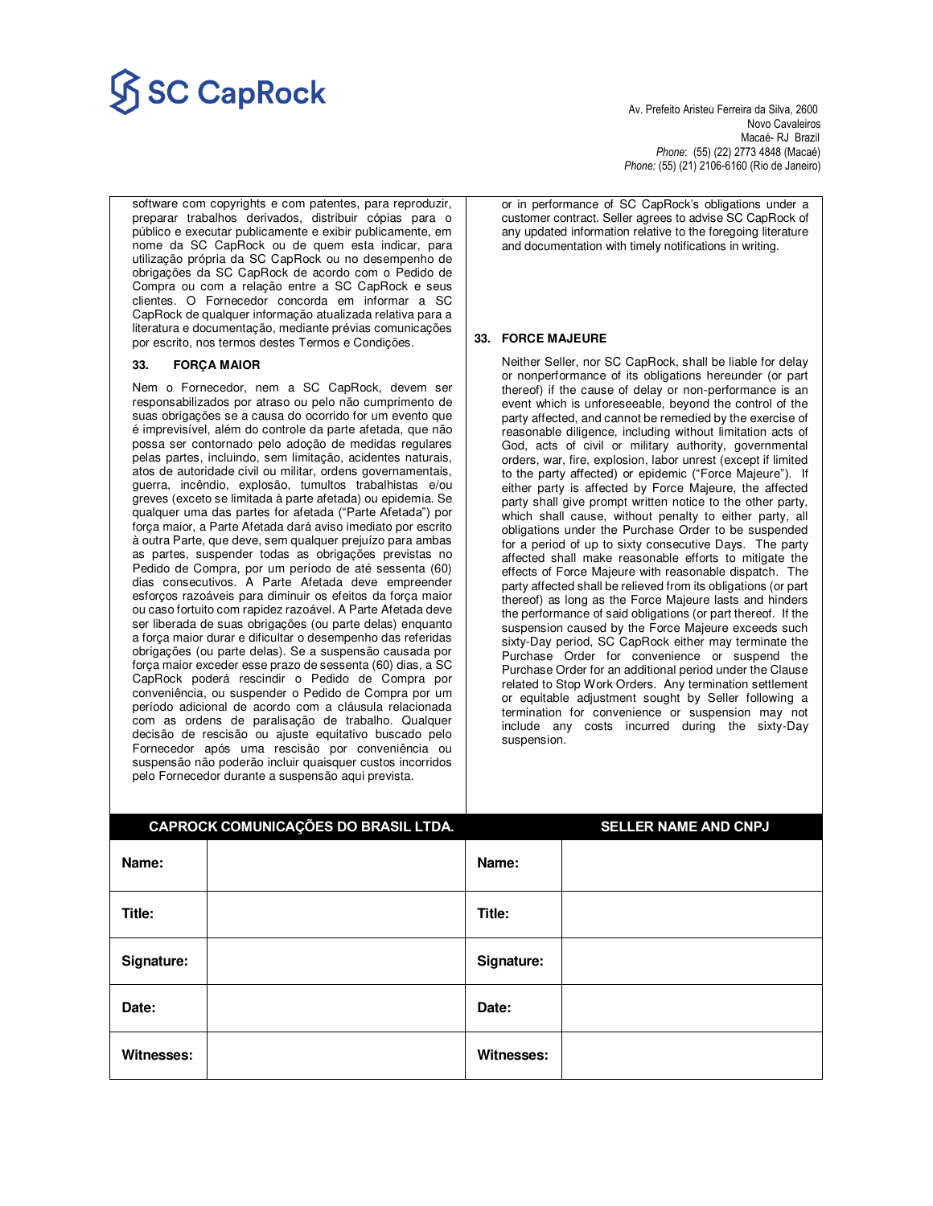# $\overline{\textbf{SC} \textbf{Cap} \textbf{Rock}}$

 Novo Cavaleiros Macaé- RJ Brazil *Phone*: (55) (22) 2773 4848 (Macaé) *Phone:* (55) (21) 2106-6160 (Rio de Janeiro)

software com copyrights e com patentes, para reproduzir, preparar trabalhos derivados, distribuir cópias para o público e executar publicamente e exibir publicamente, em nome da SC CapRock ou de quem esta indicar, para utilização própria da SC CapRock ou no desempenho de obrigações da SC CapRock de acordo com o Pedido de Compra ou com a relação entre a SC CapRock e seus clientes. O Fornecedor concorda em informar a SC CapRock de qualquer informação atualizada relativa para a literatura e documentação, mediante prévias comunicações por escrito, nos termos destes Termos e Condições.

### **33. FORÇA MAIOR**

Nem o Fornecedor, nem a SC CapRock, devem ser responsabilizados por atraso ou pelo não cumprimento de suas obrigações se a causa do ocorrido for um evento que é imprevisível, além do controle da parte afetada, que não possa ser contornado pelo adoção de medidas regulares pelas partes, incluindo, sem limitação, acidentes naturais, atos de autoridade civil ou militar, ordens governamentais, guerra, incêndio, explosão, tumultos trabalhistas e/ou greves (exceto se limitada à parte afetada) ou epidemia. Se qualquer uma das partes for afetada ("Parte Afetada") por força maior, a Parte Afetada dará aviso imediato por escrito à outra Parte, que deve, sem qualquer prejuízo para ambas as partes, suspender todas as obrigações previstas no Pedido de Compra, por um período de até sessenta (60) dias consecutivos. A Parte Afetada deve empreender esforços razoáveis para diminuir os efeitos da força maior ou caso fortuito com rapidez razoável. A Parte Afetada deve ser liberada de suas obrigações (ou parte delas) enquanto a força maior durar e dificultar o desempenho das referidas obrigações (ou parte delas). Se a suspensão causada por força maior exceder esse prazo de sessenta (60) dias, a SC CapRock poderá rescindir o Pedido de Compra por conveniência, ou suspender o Pedido de Compra por um período adicional de acordo com a cláusula relacionada com as ordens de paralisação de trabalho. Qualquer decisão de rescisão ou ajuste equitativo buscado pelo Fornecedor após uma rescisão por conveniência ou suspensão não poderão incluir quaisquer custos incorridos pelo Fornecedor durante a suspensão aqui prevista.

or in performance of SC CapRock's obligations under a customer contract. Seller agrees to advise SC CapRock of any updated information relative to the foregoing literature and documentation with timely notifications in writing.

### **33. FORCE MAJEURE**

Neither Seller, nor SC CapRock, shall be liable for delay or nonperformance of its obligations hereunder (or part thereof) if the cause of delay or non-performance is an event which is unforeseeable, beyond the control of the party affected, and cannot be remedied by the exercise of reasonable diligence, including without limitation acts of God, acts of civil or military authority, governmental orders, war, fire, explosion, labor unrest (except if limited to the party affected) or epidemic ("Force Majeure"). If either party is affected by Force Majeure, the affected party shall give prompt written notice to the other party, which shall cause, without penalty to either party, all obligations under the Purchase Order to be suspended for a period of up to sixty consecutive Days. The party affected shall make reasonable efforts to mitigate the effects of Force Majeure with reasonable dispatch. The party affected shall be relieved from its obligations (or part thereof) as long as the Force Majeure lasts and hinders the performance of said obligations (or part thereof. If the suspension caused by the Force Majeure exceeds such sixty-Day period, SC CapRock either may terminate the Purchase Order for convenience or suspend the Purchase Order for an additional period under the Clause related to Stop Work Orders. Any termination settlement or equitable adjustment sought by Seller following a termination for convenience or suspension may not include any costs incurred during the sixty-Day suspension.

| CAPROCK COMUNICAÇÕES DO BRASIL LTDA. |  |            | <b>SELLER NAME AND CNPJ</b> |
|--------------------------------------|--|------------|-----------------------------|
| Name:                                |  | Name:      |                             |
| Title:                               |  | Title:     |                             |
| Signature:                           |  | Signature: |                             |
| Date:                                |  | Date:      |                             |
| Witnesses:                           |  | Witnesses: |                             |